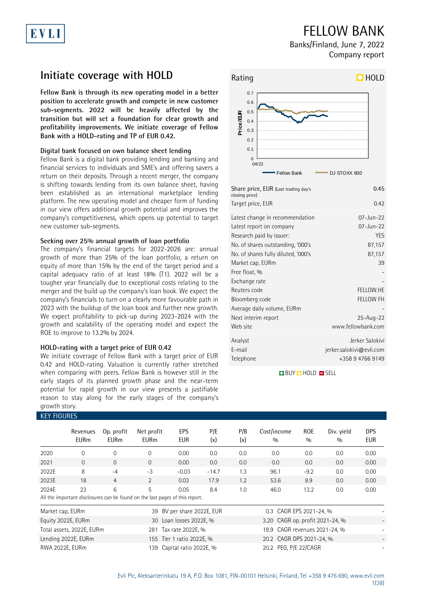## EVL

### FELLOW BANK

Banks/Finland, June 7, 2022 Company report

### **Initiate coverage with HOLD**

**Fellow Bank is through its new operating model in a better position to accelerate growth and compete in new customer sub-segments. 2022 will be heavily affected by the transition but will set a foundation for clear growth and profitability improvements. We initiate coverage of Fellow Bank with a HOLD-rating and TP of EUR 0.42.**

#### **Digital bank focused on own balance sheet lending**

Fellow Bank is a digital bank providing lending and banking and financial services to individuals and SME's and offering savers a return on their deposits. Through a recent merger, the company is shifting towards lending from its own balance sheet, having been established as an international marketplace lending platform. The new operating model and cheaper form of funding in our view offers additional growth potential and improves the company's competitiveness, which opens up potential to target new customer sub-segments.

#### **Seeking over 25% annual growth of loan portfolio**

The company's financial targets for 2022-2026 are: annual growth of more than 25% of the loan portfolio, a return on equity of more than 15% by the end of the target period and a capital adequacy ratio of at least 18% (T1). 2022 will be a tougher year financially due to exceptional costs relating to the merger and the build up the company's loan book. We expect the company's financials to turn on a clearly more favourable path in 2023 with the buildup of the loan book and further new growth. We expect profitability to pick-up during 2023-2024 with the growth and scalability of the operating model and expect the ROE to improve to 13.2% by 2024.

#### **HOLD-rating with a target price of EUR 0.42**

We initiate coverage of Fellow Bank with a target price of EUR 0.42 and HOLD-rating. Valuation is currently rather stretched when comparing with peers. Fellow Bank is however still in the early stages of its planned growth phase and the near-term potential for rapid growth in our view presents a justifiable reason to stay along for the early stages of the company's growth story.

### KEY FIGURES



| Share price, EUR (Last trading day's<br>closing price)                                                                                                                                                                                    | 0.45                                                                        |
|-------------------------------------------------------------------------------------------------------------------------------------------------------------------------------------------------------------------------------------------|-----------------------------------------------------------------------------|
| Target price, EUR                                                                                                                                                                                                                         | 0.42                                                                        |
| Latest change in recommendation<br>Latest report on company<br>Research paid by issuer:<br>No. of shares outstanding, '000's<br>No. of shares fully diluted, '000's<br>Market cap, EURm<br>Free float, %<br>Exchange rate<br>Reuters code | 07-Jun-22<br>07-Jun-22<br><b>YES</b><br>87,157<br>87,157<br>39<br>FELLOW.HE |
| Bloomberg code<br>Average daily volume, EURm<br>Next interim report<br>Web site                                                                                                                                                           | <b>FELLOW FH</b><br>25-Aug-22<br>www.fellowbank.com                         |
| Analyst<br>E-mail<br>Telephone                                                                                                                                                                                                            | Jerker Salokivi<br>jerker.salokivi@evli.com<br>+358947669149                |

**BUY Q HOLD O SELL** 

|                  | KET FIUURES.            |                           |                                                                              |                         |            |            |                                 |                   |                   |                          |  |
|------------------|-------------------------|---------------------------|------------------------------------------------------------------------------|-------------------------|------------|------------|---------------------------------|-------------------|-------------------|--------------------------|--|
|                  | Revenues<br><b>EURm</b> | Op. profit<br><b>EURm</b> | Net profit<br><b>EURm</b>                                                    | EPS<br><b>EUR</b>       | P/E<br>(x) | P/B<br>(x) | Cost/income<br>0/0              | <b>ROE</b><br>0/0 | Div. yield<br>0/0 | <b>DPS</b><br><b>EUR</b> |  |
| 2020             | $\Omega$                | 0                         | $\Omega$                                                                     | 0.00                    | 0.0        | 0.0        | 0.0                             | 0.0               | 0.0               | 0.00                     |  |
| 2021             | $\overline{0}$          | $\mathbf{0}$              | $\Omega$                                                                     | 0.00                    | 0.0        | 0.0        | 0.0                             | 0.0               | 0.0               | 0.00                     |  |
| 2022E            | 8                       | $-4$                      | $-3$                                                                         | $-0.03$                 | $-14.7$    | 1.3        | 96.1                            | $-9.2$            | 0.0               | 0.00                     |  |
| 2023E            | 18                      | 4                         | 2                                                                            | 0.03                    | 17.9       | 1.2        | 53.6                            | 8.9               | 0.0               | 0.00                     |  |
| 2024E            | 23                      | 6                         | 5                                                                            | 0.05                    | 8.4        | 1.0        | 46.0                            | 13.2              | 0.0               | 0.00                     |  |
|                  |                         |                           | All the important disclosures can be found on the last pages of this report. |                         |            |            |                                 |                   |                   |                          |  |
| Market cap, EURm |                         |                           | 39                                                                           | BV per share 2022E, EUR |            |            | 0.3 CAGR EPS 2021-24, %         |                   |                   |                          |  |
|                  | Equity 2022E, EURm      |                           |                                                                              | 30 Loan losses 2022E, % |            |            | 3.20 CAGR op. profit 2021-24, % |                   |                   |                          |  |

Total assets, 2022E, EURm 281 Tax rate 2022E, % Lending 2022E, EURm 155 Tier 1 ratio 2022E, % RWA 2022E, EURm 139 Capital ratio 2022E, %

| 0.3 CAGR EPS 2021-24, %         |  |
|---------------------------------|--|
| 3.20 CAGR op. profit 2021-24, % |  |
| 18.9 CAGR revenues 2021-24, %   |  |
| 20.2 CAGR DPS 2021-24, %        |  |
| 20.2 PEG, P/E 22/CAGR           |  |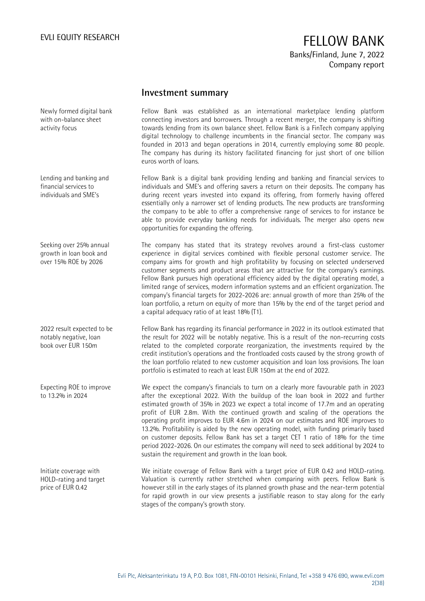### EVLI EQUITY RESEARCH **FELLOW BANK** Banks/Finland, June 7, 2022 Company report

#### **Investment summary**

Fellow Bank was established as an international marketplace lending platform connecting investors and borrowers. Through a recent merger, the company is shifting towards lending from its own balance sheet. Fellow Bank is a FinTech company applying digital technology to challenge incumbents in the financial sector. The company was founded in 2013 and began operations in 2014, currently employing some 80 people. The company has during its history facilitated financing for just short of one billion euros worth of loans.

Fellow Bank is a digital bank providing lending and banking and financial services to individuals and SME's and offering savers a return on their deposits. The company has during recent years invested into expand its offering, from formerly having offered essentially only a narrower set of lending products. The new products are transforming the company to be able to offer a comprehensive range of services to for instance be able to provide everyday banking needs for individuals. The merger also opens new opportunities for expanding the offering.

The company has stated that its strategy revolves around a first-class customer experience in digital services combined with flexible personal customer service. The company aims for growth and high profitability by focusing on selected underserved customer segments and product areas that are attractive for the company's earnings. Fellow Bank pursues high operational efficiency aided by the digital operating model, a limited range of services, modern information systems and an efficient organization. The company's financial targets for 2022-2026 are: annual growth of more than 25% of the loan portfolio, a return on equity of more than 15% by the end of the target period and a capital adequacy ratio of at least 18% (T1).

Fellow Bank has regarding its financial performance in 2022 in its outlook estimated that the result for 2022 will be notably negative. This is a result of the non-recurring costs related to the completed corporate reorganization, the investments required by the credit institution's operations and the frontloaded costs caused by the strong growth of the loan portfolio related to new customer acquisition and loan loss provisions. The loan portfolio is estimated to reach at least EUR 150m at the end of 2022.

We expect the company's financials to turn on a clearly more favourable path in 2023 after the exceptional 2022. With the buildup of the loan book in 2022 and further estimated growth of 35% in 2023 we expect a total income of 17.7m and an operating profit of EUR 2.8m. With the continued growth and scaling of the operations the operating profit improves to EUR 4.6m in 2024 on our estimates and ROE improves to 13.2%. Profitability is aided by the new operating model, with funding primarily based on customer deposits. Fellow Bank has set a target CET 1 ratio of 18% for the time period 2022-2026. On our estimates the company will need to seek additional by 2024 to sustain the requirement and growth in the loan book.

We initiate coverage of Fellow Bank with a target price of EUR 0.42 and HOLD-rating. Valuation is currently rather stretched when comparing with peers. Fellow Bank is however still in the early stages of its planned growth phase and the near-term potential for rapid growth in our view presents a justifiable reason to stay along for the early stages of the company's growth story.

Newly formed digital bank with on-balance sheet activity focus

Lending and banking and financial services to individuals and SME's

Seeking over 25% annual growth in loan book and over 15% ROE by 2026

2022 result expected to be notably negative, loan book over EUR 150m

Expecting ROE to improve to 13.2% in 2024

Initiate coverage with HOLD-rating and target price of EUR 0.42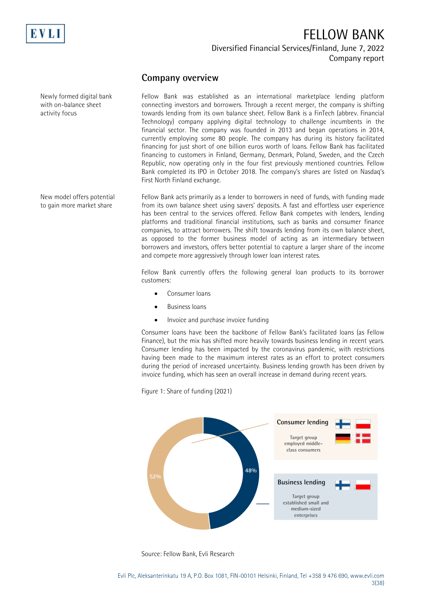

## FELLOW BANK Diversified Financial Services/Finland, June 7, 2022

Company report

### **Company overview**

Fellow Bank was established as an international marketplace lending platform connecting investors and borrowers. Through a recent merger, the company is shifting towards lending from its own balance sheet. Fellow Bank is a FinTech (abbrev. Financial Technology) company applying digital technology to challenge incumbents in the financial sector. The company was founded in 2013 and began operations in 2014, currently employing some 80 people. The company has during its history facilitated financing for just short of one billion euros worth of loans. Fellow Bank has facilitated financing to customers in Finland, Germany, Denmark, Poland, Sweden, and the Czech Republic, now operating only in the four first previously mentioned countries. Fellow Bank completed its IPO in October 2018. The company's shares are listed on Nasdaq's First North Finland exchange.

Fellow Bank acts primarily as a lender to borrowers in need of funds, with funding made from its own balance sheet using savers' deposits. A fast and effortless user experience has been central to the services offered. Fellow Bank competes with lenders, lending platforms and traditional financial institutions, such as banks and consumer finance companies, to attract borrowers. The shift towards lending from its own balance sheet, as opposed to the former business model of acting as an intermediary between borrowers and investors, offers better potential to capture a larger share of the income and compete more aggressively through lower loan interest rates.

Fellow Bank currently offers the following general loan products to its borrower customers:

- Consumer loans
- Business loans
- Invoice and purchase invoice funding

Consumer loans have been the backbone of Fellow Bank's facilitated loans (as Fellow Finance), but the mix has shifted more heavily towards business lending in recent years. Consumer lending has been impacted by the coronavirus pandemic, with restrictions having been made to the maximum interest rates as an effort to protect consumers during the period of increased uncertainty. Business lending growth has been driven by invoice funding, which has seen an overall increase in demand during recent years.

Figure 1: Share of funding (2021)



Source: Fellow Bank, Evli Research

Newly formed digital bank with on-balance sheet activity focus

New model offers potential to gain more market share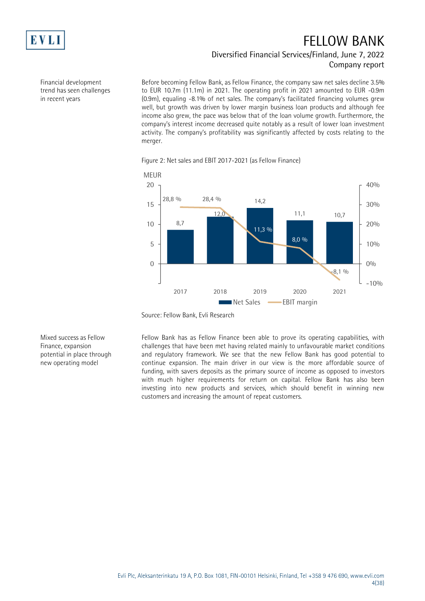

### FELLOW BANK Diversified Financial Services/Finland, June 7, 2022 Company report

Financial development trend has seen challenges in recent years

Before becoming Fellow Bank, as Fellow Finance, the company saw net sales decline 3.5% to EUR 10.7m (11.1m) in 2021. The operating profit in 2021 amounted to EUR -0.9m (0.9m), equaling -8.1% of net sales. The company's facilitated financing volumes grew well, but growth was driven by lower margin business loan products and although fee income also grew, the pace was below that of the loan volume growth. Furthermore, the company's interest income decreased quite notably as a result of lower loan investment activity. The company's profitability was significantly affected by costs relating to the merger.



Figure 2: Net sales and EBIT 2017-2021 (as Fellow Finance)

Mixed success as Fellow Finance, expansion potential in place through new operating model

Fellow Bank has as Fellow Finance been able to prove its operating capabilities, with challenges that have been met having related mainly to unfavourable market conditions and regulatory framework. We see that the new Fellow Bank has good potential to continue expansion. The main driver in our view is the more affordable source of funding, with savers deposits as the primary source of income as opposed to investors with much higher requirements for return on capital. Fellow Bank has also been investing into new products and services, which should benefit in winning new customers and increasing the amount of repeat customers.

Source: Fellow Bank, Evli Research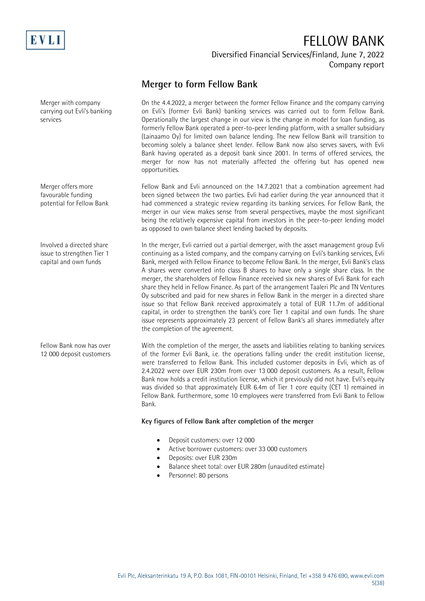

Diversified Financial Services/Finland, June 7, 2022 Company report

### **Merger to form Fellow Bank**

On the 4.4.2022, a merger between the former Fellow Finance and the company carrying on Evli's (former Evli Bank) banking services was carried out to form Fellow Bank. Operationally the largest change in our view is the change in model for loan funding, as formerly Fellow Bank operated a peer-to-peer lending platform, with a smaller subsidiary (Lainaamo Oy) for limited own balance lending. The new Fellow Bank will transition to becoming solely a balance sheet lender. Fellow Bank now also serves savers, with Evli Bank having operated as a deposit bank since 2001. In terms of offered services, the merger for now has not materially affected the offering but has opened new opportunities.

Fellow Bank and Evli announced on the 14.7.2021 that a combination agreement had been signed between the two parties. Evli had earlier during the year announced that it had commenced a strategic review regarding its banking services. For Fellow Bank, the merger in our view makes sense from several perspectives, maybe the most significant being the relatively expensive capital from investors in the peer-to-peer lending model as opposed to own balance sheet lending backed by deposits.

In the merger, Evli carried out a partial demerger, with the asset management group Evli continuing as a listed company, and the company carrying on Evli's banking services, Evli Bank, merged with Fellow Finance to become Fellow Bank. In the merger, Evli Bank's class A shares were converted into class B shares to have only a single share class. In the merger, the shareholders of Fellow Finance received six new shares of Evli Bank for each share they held in Fellow Finance. As part of the arrangement Taaleri Plc and TN Ventures Oy subscribed and paid for new shares in Fellow Bank in the merger in a directed share issue so that Fellow Bank received approximately a total of EUR 11.7m of additional capital, in order to strengthen the bank's core Tier 1 capital and own funds. The share issue represents approximately 23 percent of Fellow Bank's all shares immediately after the completion of the agreement.

With the completion of the merger, the assets and liabilities relating to banking services of the former Evli Bank, i.e. the operations falling under the credit institution license, were transferred to Fellow Bank. This included customer deposits in Evli, which as of 2.4.2022 were over EUR 230m from over 13 000 deposit customers. As a result, Fellow Bank now holds a credit institution license, which it previously did not have. Evli's equity was divided so that approximately EUR 6.4m of Tier 1 core equity (CET 1) remained in Fellow Bank. Furthermore, some 10 employees were transferred from Evli Bank to Fellow Bank.

#### **Key figures of Fellow Bank after completion of the merger**

- Deposit customers: over 12 000
- Active borrower customers: over 33 000 customers
- Deposits: over EUR 230m
- Balance sheet total: over EUR 280m (unaudited estimate)
- Personnel: 80 persons

Merger with company carrying out Evli's banking services

Merger offers more favourable funding potential for Fellow Bank

Involved a directed share issue to strengthen Tier 1 capital and own funds

Fellow Bank now has over 12 000 deposit customers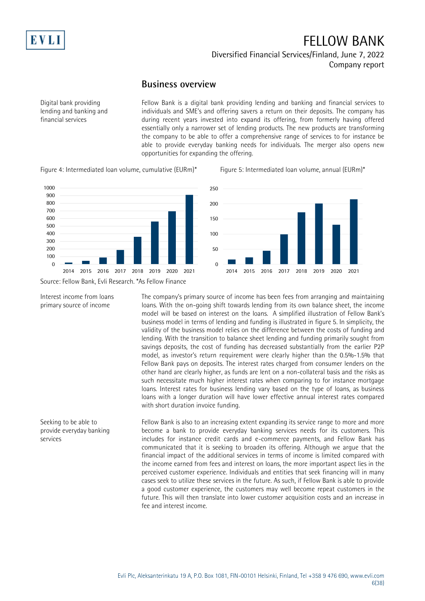

Diversified Financial Services/Finland, June 7, 2022 Company report

### **Business overview**

Digital bank providing lending and banking and financial services

Fellow Bank is a digital bank providing lending and banking and financial services to individuals and SME's and offering savers a return on their deposits. The company has during recent years invested into expand its offering, from formerly having offered essentially only a narrower set of lending products. The new products are transforming the company to be able to offer a comprehensive range of services to for instance be able to provide everyday banking needs for individuals. The merger also opens new opportunities for expanding the offering.

Figure 4: Intermediated loan volume, cumulative (EURm)\* Figure 5: Intermediated loan volume, annual (EURm)\*



2014 2015 2016 2017 2018 2019 2020 2021



Source: Fellow Bank, Evli Research. \*As Fellow Finance

Interest income from loans

primary source of income

Seeking to be able to provide everyday banking

services

The company's primary source of income has been fees from arranging and maintaining loans. With the on-going shift towards lending from its own balance sheet, the income model will be based on interest on the loans. A simplified illustration of Fellow Bank's business model in terms of lending and funding is illustrated in figure 5. In simplicity, the validity of the business model relies on the difference between the costs of funding and lending. With the transition to balance sheet lending and funding primarily sought from savings deposits, the cost of funding has decreased substantially from the earlier P2P model, as investor's return requirement were clearly higher than the 0.5%-1.5% that Fellow Bank pays on deposits. The interest rates charged from consumer lenders on the other hand are clearly higher, as funds are lent on a non-collateral basis and the risks as such necessitate much higher interest rates when comparing to for instance mortgage loans. Interest rates for business lending vary based on the type of loans, as business loans with a longer duration will have lower effective annual interest rates compared

 $\Omega$ 

50

100

150

 $200$ 

250

the income earned from fees and interest on loans, the more important aspect lies in the perceived customer experience. Individuals and entities that seek financing will in many cases seek to utilize these services in the future. As such, if Fellow Bank is able to provide a good customer experience, the customers may well become repeat customers in the future. This will then translate into lower customer acquisition costs and an increase in fee and interest income.

with short duration invoice funding. Fellow Bank is also to an increasing extent expanding its service range to more and more become a bank to provide everyday banking services needs for its customers. This includes for instance credit cards and e-commerce payments, and Fellow Bank has communicated that it is seeking to broaden its offering. Although we argue that the financial impact of the additional services in terms of income is limited compared with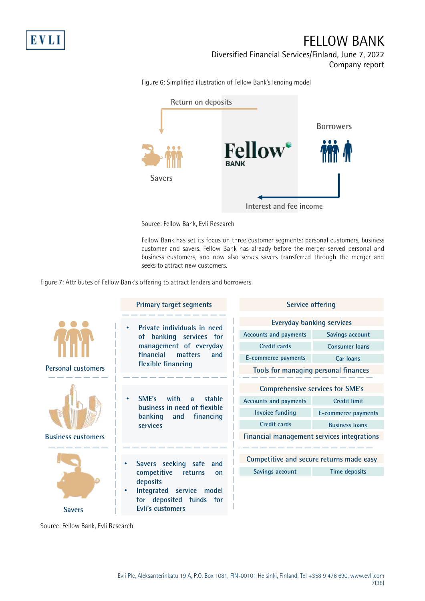

Diversified Financial Services/Finland, June 7, 2022 Company report

**Return on deposits Borrowers Savers**

Figure 6: Simplified illustration of Fellow Bank's lending model

**Interest and fee income**

Source: Fellow Bank, Evli Research

Fellow Bank has set its focus on three customer segments: personal customers, business customer and savers. Fellow Bank has already before the merger served personal and business customers, and now also serves savers transferred through the merger and seeks to attract new customers.

Figure 7: Attributes of Fellow Bank's offering to attract lenders and borrowers



Source: Fellow Bank, Evli Research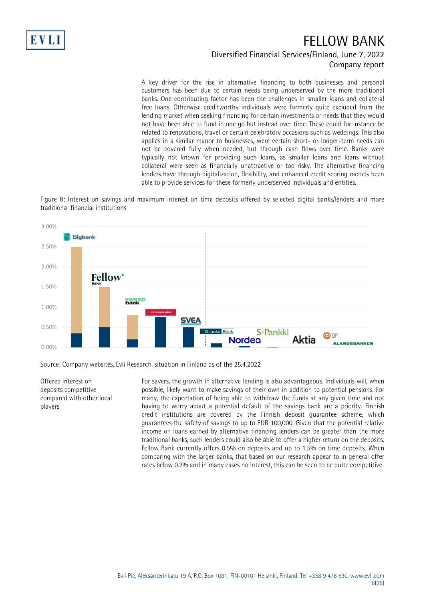

### FELLOW BANK Diversified Financial Services/Finland, June 7, 2022 Company report

A key driver for the rise in alternative financing to both businesses and personal customers has been due to certain needs being underserved by the more traditional banks. One contributing factor has been the challenges in smaller loans and collateral free loans. Otherwise creditworthy individuals were formerly quite excluded from the lending market when seeking financing for certain investments or needs that they would not have been able to fund in one go but instead over time. These could for instance be related to renovations, travel or certain celebratory occasions such as weddings. This also applies in a similar manor to businesses, were certain short- or longer-term needs can not be covered fully when needed, but through cash flows over time. Banks were typically not known for providing such loans, as smaller loans and loans without collateral were seen as financially unattractive or too risky. The alternative financing lenders have through digitalization, flexibility, and enhanced credit scoring models been able to provide services for these formerly underserved individuals and entities.

Figure 8: Interest on savings and maximum interest on time deposits offered by selected digital banks/lenders and more traditional financial institutions



Source: Company websites, Evli Research, situation in Finland as of the 25.4.2022

Offered interest on deposits competitive compared with other local players

For savers, the growth in alternative lending is also advantageous. Individuals will, when possible, likely want to make savings of their own in addition to potential pensions. For many, the expectation of being able to withdraw the funds at any given time and not having to worry about a potential default of the savings bank are a priority. Finnish credit institutions are covered by the Finnish deposit guarantee scheme, which guarantees the safety of savings to up to EUR 100,000. Given that the potential relative income on loans earned by alternative financing lenders can be greater than the more traditional banks, such lenders could also be able to offer a higher return on the deposits. Fellow Bank currently offers 0.5% on deposits and up to 1.5% on time deposits. When comparing with the larger banks, that based on our research appear to in general offer rates below 0.2% and in many cases no interest, this can be seen to be quite competitive.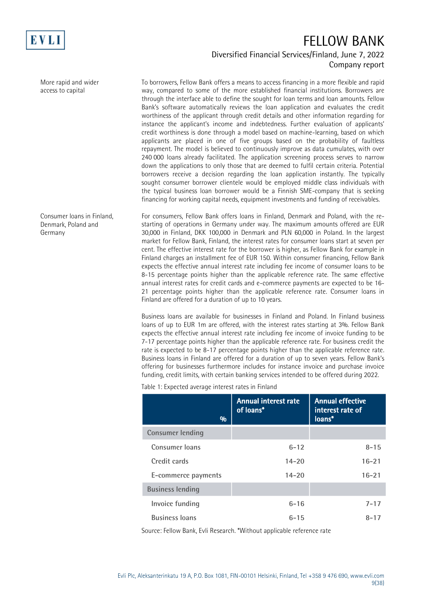

More rapid and wider access to capital

Consumer loans in Finland, Denmark, Poland and Germany

### FELLOW BANK Diversified Financial Services/Finland, June 7, 2022 Company report

To borrowers, Fellow Bank offers a means to access financing in a more flexible and rapid way, compared to some of the more established financial institutions. Borrowers are through the interface able to define the sought for loan terms and loan amounts. Fellow Bank's software automatically reviews the loan application and evaluates the credit worthiness of the applicant through credit details and other information regarding for instance the applicant's income and indebtedness. Further evaluation of applicants' credit worthiness is done through a model based on machine-learning, based on which applicants are placed in one of five groups based on the probability of faultless repayment. The model is believed to continuously improve as data cumulates, with over 240 000 loans already facilitated. The application screening process serves to narrow down the applications to only those that are deemed to fulfil certain criteria. Potential borrowers receive a decision regarding the loan application instantly. The typically sought consumer borrower clientele would be employed middle class individuals with the typical business loan borrower would be a Finnish SME-company that is seeking financing for working capital needs, equipment investments and funding of receivables.

For consumers, Fellow Bank offers loans in Finland, Denmark and Poland, with the restarting of operations in Germany under way. The maximum amounts offered are EUR 30,000 in Finland, DKK 100,000 in Denmark and PLN 60,000 in Poland. In the largest market for Fellow Bank, Finland, the interest rates for consumer loans start at seven per cent. The effective interest rate for the borrower is higher, as Fellow Bank for example in Finland charges an installment fee of EUR 150. Within consumer financing, Fellow Bank expects the effective annual interest rate including fee income of consumer loans to be 8-15 percentage points higher than the applicable reference rate. The same effective annual interest rates for credit cards and e-commerce payments are expected to be 16- 21 percentage points higher than the applicable reference rate. Consumer loans in Finland are offered for a duration of up to 10 years.

Business loans are available for businesses in Finland and Poland. In Finland business loans of up to EUR 1m are offered, with the interest rates starting at 3%. Fellow Bank expects the effective annual interest rate including fee income of invoice funding to be 7-17 percentage points higher than the applicable reference rate. For business credit the rate is expected to be 8-17 percentage points higher than the applicable reference rate. Business loans in Finland are offered for a duration of up to seven years. Fellow Bank's offering for businesses furthermore includes for instance invoice and purchase invoice funding, credit limits, with certain banking services intended to be offered during 2022.

Table 1: Expected average interest rates in Finland

| $\frac{0}{0}$           | <b>Annual interest rate</b><br>of loans* | <b>Annual effective</b><br>interest rate of<br>loans* |
|-------------------------|------------------------------------------|-------------------------------------------------------|
| <b>Consumer lending</b> |                                          |                                                       |
| Consumer loans          | $6 - 12$                                 | $8 - 15$                                              |
| Credit cards            | $14 - 20$                                | $16 - 21$                                             |
| E-commerce payments     | $14 - 20$                                | $16 - 21$                                             |
| <b>Business lending</b> |                                          |                                                       |
| Invoice funding         | $6 - 16$                                 | $7 - 17$                                              |
| <b>Business loans</b>   | $6 - 15$                                 | $8 - 17$                                              |

Source: Fellow Bank, Evli Research. \*Without applicable reference rate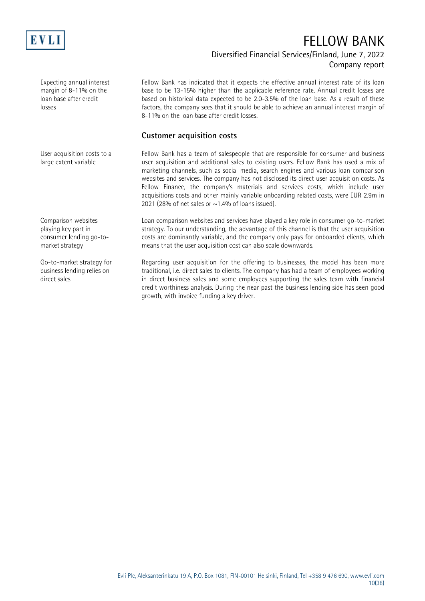

### Diversified Financial Services/Finland, June 7, 2022 Company report

Expecting annual interest margin of 8-11% on the loan base after credit losses

User acquisition costs to a large extent variable

Fellow Bank has indicated that it expects the effective annual interest rate of its loan base to be 13-15% higher than the applicable reference rate. Annual credit losses are based on historical data expected to be 2.0-3.5% of the loan base. As a result of these factors, the company sees that it should be able to achieve an annual interest margin of 8-11% on the loan base after credit losses.

#### **Customer acquisition costs**

Fellow Bank has a team of salespeople that are responsible for consumer and business user acquisition and additional sales to existing users. Fellow Bank has used a mix of marketing channels, such as social media, search engines and various loan comparison websites and services. The company has not disclosed its direct user acquisition costs. As Fellow Finance, the company's materials and services costs, which include user acquisitions costs and other mainly variable onboarding related costs, were EUR 2.9m in 2021 (28% of net sales or  $\sim$  1.4% of loans issued).

Loan comparison websites and services have played a key role in consumer go-to-market strategy. To our understanding, the advantage of this channel is that the user acquisition costs are dominantly variable, and the company only pays for onboarded clients, which means that the user acquisition cost can also scale downwards.

Regarding user acquisition for the offering to businesses, the model has been more traditional, i.e. direct sales to clients. The company has had a team of employees working in direct business sales and some employees supporting the sales team with financial credit worthiness analysis. During the near past the business lending side has seen good growth, with invoice funding a key driver.

Comparison websites playing key part in consumer lending go-tomarket strategy

Go-to-market strategy for business lending relies on direct sales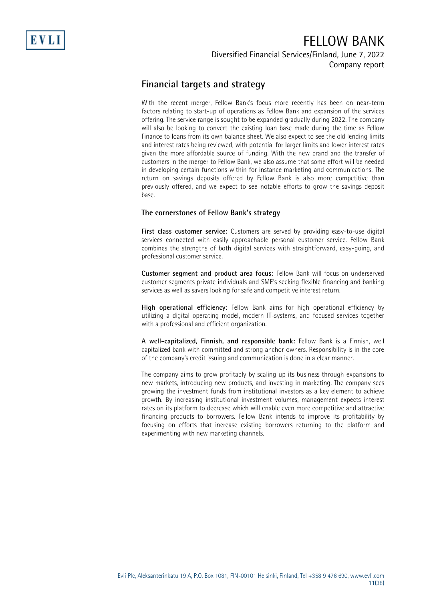Diversified Financial Services/Finland, June 7, 2022 Company report

### **Financial targets and strategy**

With the recent merger, Fellow Bank's focus more recently has been on near-term factors relating to start-up of operations as Fellow Bank and expansion of the services offering. The service range is sought to be expanded gradually during 2022. The company will also be looking to convert the existing loan base made during the time as Fellow Finance to loans from its own balance sheet. We also expect to see the old lending limits and interest rates being reviewed, with potential for larger limits and lower interest rates given the more affordable source of funding. With the new brand and the transfer of customers in the merger to Fellow Bank, we also assume that some effort will be needed in developing certain functions within for instance marketing and communications. The return on savings deposits offered by Fellow Bank is also more competitive than previously offered, and we expect to see notable efforts to grow the savings deposit base.

#### **The cornerstones of Fellow Bank's strategy**

**First class customer service:** Customers are served by providing easy-to-use digital services connected with easily approachable personal customer service. Fellow Bank combines the strengths of both digital services with straightforward, easy-going, and professional customer service.

**Customer segment and product area focus:** Fellow Bank will focus on underserved customer segments private individuals and SME's seeking flexible financing and banking services as well as savers looking for safe and competitive interest return.

**High operational efficiency:** Fellow Bank aims for high operational efficiency by utilizing a digital operating model, modern IT-systems, and focused services together with a professional and efficient organization.

**A well-capitalized, Finnish, and responsible bank:** Fellow Bank is a Finnish, well capitalized bank with committed and strong anchor owners. Responsibility is in the core of the company's credit issuing and communication is done in a clear manner.

The company aims to grow profitably by scaling up its business through expansions to new markets, introducing new products, and investing in marketing. The company sees growing the investment funds from institutional investors as a key element to achieve growth. By increasing institutional investment volumes, management expects interest rates on its platform to decrease which will enable even more competitive and attractive financing products to borrowers. Fellow Bank intends to improve its profitability by focusing on efforts that increase existing borrowers returning to the platform and experimenting with new marketing channels.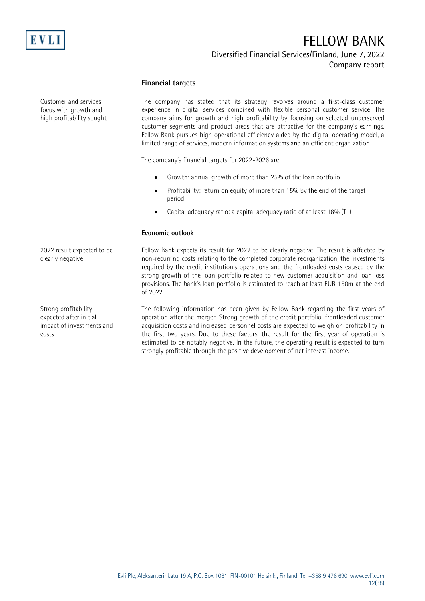

#### Diversified Financial Services/Finland, June 7, 2022 Company report

#### **Financial targets**

The company has stated that its strategy revolves around a first-class customer experience in digital services combined with flexible personal customer service. The company aims for growth and high profitability by focusing on selected underserved customer segments and product areas that are attractive for the company's earnings. Fellow Bank pursues high operational efficiency aided by the digital operating model, a limited range of services, modern information systems and an efficient organization The company's financial targets for 2022-2026 are: • Growth: annual growth of more than 25% of the loan portfolio • Profitability: return on equity of more than 15% by the end of the target period • Capital adequacy ratio: a capital adequacy ratio of at least 18% (T1). **Economic outlook** Fellow Bank expects its result for 2022 to be clearly negative. The result is affected by non-recurring costs relating to the completed corporate reorganization, the investments required by the credit institution's operations and the frontloaded costs caused by the strong growth of the loan portfolio related to new customer acquisition and loan loss provisions. The bank's loan portfolio is estimated to reach at least EUR 150m at the end of 2022. The following information has been given by Fellow Bank regarding the first years of operation after the merger. Strong growth of the credit portfolio, frontloaded customer acquisition costs and increased personnel costs are expected to weigh on profitability in the first two years. Due to these factors, the result for the first year of operation is Customer and services focus with growth and high profitability sought 2022 result expected to be clearly negative Strong profitability expected after initial impact of investments and costs

estimated to be notably negative. In the future, the operating result is expected to turn

strongly profitable through the positive development of net interest income.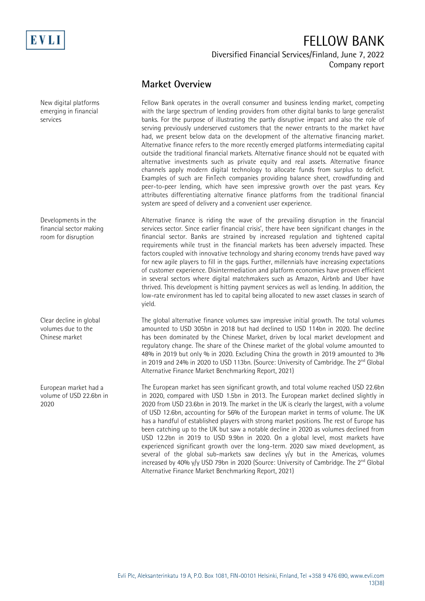

Diversified Financial Services/Finland, June 7, 2022 Company report

### **Market Overview**

Fellow Bank operates in the overall consumer and business lending market, competing with the large spectrum of lending providers from other digital banks to large generalist banks. For the purpose of illustrating the partly disruptive impact and also the role of serving previously underserved customers that the newer entrants to the market have had, we present below data on the development of the alternative financing market. Alternative finance refers to the more recently emerged platforms intermediating capital outside the traditional financial markets. Alternative finance should not be equated with alternative investments such as private equity and real assets. Alternative finance channels apply modern digital technology to allocate funds from surplus to deficit. Examples of such are FinTech companies providing balance sheet, crowdfunding and peer-to-peer lending, which have seen impressive growth over the past years. Key attributes differentiating alternative finance platforms from the traditional financial system are speed of delivery and a convenient user experience.

Alternative finance is riding the wave of the prevailing disruption in the financial services sector. Since earlier financial crisis', there have been significant changes in the financial sector. Banks are strained by increased regulation and tightened capital requirements while trust in the financial markets has been adversely impacted. These factors coupled with innovative technology and sharing economy trends have paved way for new agile players to fill in the gaps. Further, millennials have increasing expectations of customer experience. Disintermediation and platform economies have proven efficient in several sectors where digital matchmakers such as Amazon, Airbnb and Uber have thrived. This development is hitting payment services as well as lending. In addition, the low-rate environment has led to capital being allocated to new asset classes in search of yield.

The global alternative finance volumes saw impressive initial growth. The total volumes amounted to USD 305bn in 2018 but had declined to USD 114bn in 2020. The decline has been dominated by the Chinese Market, driven by local market development and regulatory change. The share of the Chinese market of the global volume amounted to 48% in 2019 but only % in 2020. Excluding China the growth in 2019 amounted to 3% in 2019 and 24% in 2020 to USD 113bn. (Source: University of Cambridge. The 2<sup>nd</sup> Global Alternative Finance Market Benchmarking Report, 2021)

The European market has seen significant growth, and total volume reached USD 22.6bn in 2020, compared with USD 1.5bn in 2013. The European market declined slightly in 2020 from USD 23.6bn in 2019. The market in the UK is clearly the largest, with a volume of USD 12.6bn, accounting for 56% of the European market in terms of volume. The UK has a handful of established players with strong market positions. The rest of Europe has been catching up to the UK but saw a notable decline in 2020 as volumes declined from USD 12.2bn in 2019 to USD 9.9bn in 2020. On a global level, most markets have experienced significant growth over the long-term. 2020 saw mixed development, as several of the global sub-markets saw declines  $y/y$  but in the Americas, volumes increased by 40% y/y USD 79bn in 2020 (Source: University of Cambridge. The  $2^{nd}$  Global Alternative Finance Market Benchmarking Report, 2021)

New digital platforms emerging in financial services

Developments in the financial sector making room for disruption

Clear decline in global volumes due to the Chinese market

European market had a volume of USD 22.6bn in 2020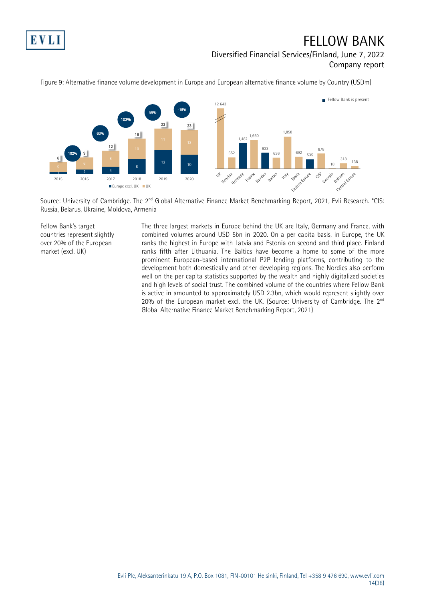

### FELLOW BANK Diversified Financial Services/Finland, June 7, 2022 Company report



Figure 9: Alternative finance volume development in Europe and European alternative finance volume by Country (USDm)

Source: University of Cambridge. The 2<sup>nd</sup> Global Alternative Finance Market Benchmarking Report, 2021, Evli Research. \*CIS: Russia, Belarus, Ukraine, Moldova, Armenia

Fellow Bank's target countries represent slightly over 20% of the European market (excl. UK)

The three largest markets in Europe behind the UK are Italy, Germany and France, with combined volumes around USD 5bn in 2020. On a per capita basis, in Europe, the UK ranks the highest in Europe with Latvia and Estonia on second and third place. Finland ranks fifth after Lithuania. The Baltics have become a home to some of the more prominent European-based international P2P lending platforms, contributing to the development both domestically and other developing regions. The Nordics also perform well on the per capita statistics supported by the wealth and highly digitalized societies and high levels of social trust. The combined volume of the countries where Fellow Bank is active in amounted to approximately USD 2.3bn, which would represent slightly over 20% of the European market excl. the UK. (Source: University of Cambridge. The  $2^{nd}$ Global Alternative Finance Market Benchmarking Report, 2021)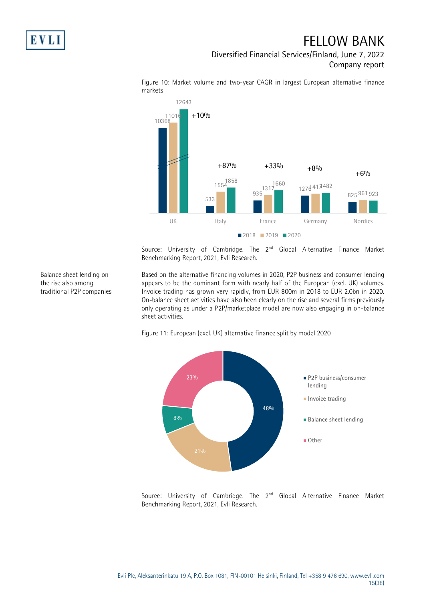Balance sheet lending on the rise also among traditional P2P companies

## FELLOW BANK

Diversified Financial Services/Finland, June 7, 2022 Company report



Figure 10: Market volume and two-year CAGR in largest European alternative finance markets

Source: University of Cambridge. The 2<sup>nd</sup> Global Alternative Finance Market Benchmarking Report, 2021, Evli Research.

Based on the alternative financing volumes in 2020, P2P business and consumer lending appears to be the dominant form with nearly half of the European (excl. UK) volumes. Invoice trading has grown very rapidly, from EUR 800m in 2018 to EUR 2.0bn in 2020. On-balance sheet activities have also been clearly on the rise and several firms previously only operating as under a P2P/marketplace model are now also engaging in on-balance sheet activities.



Figure 11: European (excl. UK) alternative finance split by model 2020

Source: University of Cambridge. The 2<sup>nd</sup> Global Alternative Finance Market Benchmarking Report, 2021, Evli Research.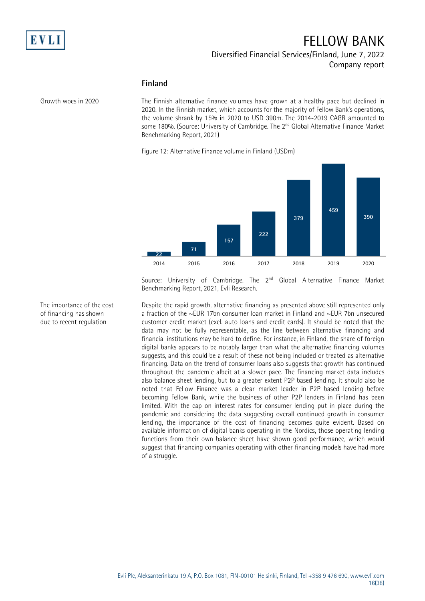

#### Diversified Financial Services/Finland, June 7, 2022 Company report

#### **Finland**

Growth woes in 2020

The Finnish alternative finance volumes have grown at a healthy pace but declined in 2020. In the Finnish market, which accounts for the majority of Fellow Bank's operations, the volume shrank by 15% in 2020 to USD 390m. The 2014-2019 CAGR amounted to some 180%. (Source: University of Cambridge. The  $2^{nd}$  Global Alternative Finance Market Benchmarking Report, 2021)

Figure 12: Alternative Finance volume in Finland (USDm)



Source: University of Cambridge. The 2<sup>nd</sup> Global Alternative Finance Market Benchmarking Report, 2021, Evli Research.

Despite the rapid growth, alternative financing as presented above still represented only a fraction of the ~EUR 17bn consumer loan market in Finland and ~EUR 7bn unsecured customer credit market (excl. auto loans and credit cards). It should be noted that the data may not be fully representable, as the line between alternative financing and financial institutions may be hard to define. For instance, in Finland, the share of foreign digital banks appears to be notably larger than what the alternative financing volumes suggests, and this could be a result of these not being included or treated as alternative financing. Data on the trend of consumer loans also suggests that growth has continued throughout the pandemic albeit at a slower pace. The financing market data includes also balance sheet lending, but to a greater extent P2P based lending. It should also be noted that Fellow Finance was a clear market leader in P2P based lending before becoming Fellow Bank, while the business of other P2P lenders in Finland has been limited. With the cap on interest rates for consumer lending put in place during the pandemic and considering the data suggesting overall continued growth in consumer lending, the importance of the cost of financing becomes quite evident. Based on available information of digital banks operating in the Nordics, those operating lending functions from their own balance sheet have shown good performance, which would suggest that financing companies operating with other financing models have had more of a struggle.

The importance of the cost of financing has shown due to recent regulation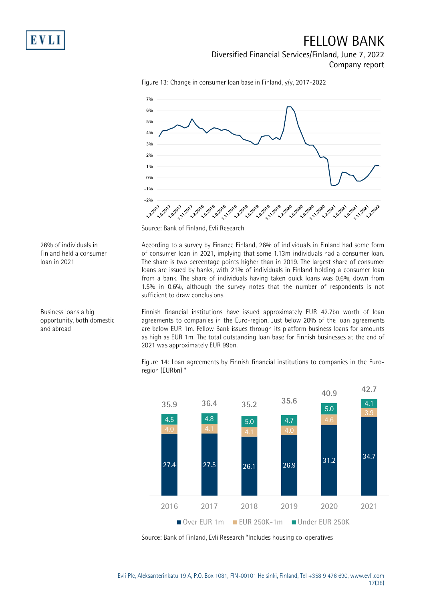

Diversified Financial Services/Finland, June 7, 2022

Company report



Figure 13: Change in consumer loan base in Finland, y/y, 2017-2022

Source: Bank of Finland, Evli Research

According to a survey by Finance Finland, 26% of individuals in Finland had some form of consumer loan in 2021, implying that some 1.13m individuals had a consumer loan. The share is two percentage points higher than in 2019. The largest share of consumer loans are issued by banks, with 21% of individuals in Finland holding a consumer loan from a bank. The share of individuals having taken quick loans was 0.6%, down from 1.5% in 0.6%, although the survey notes that the number of respondents is not sufficient to draw conclusions.

Finnish financial institutions have issued approximately EUR 42.7bn worth of loan agreements to companies in the Euro-region. Just below 20% of the loan agreements are below EUR 1m. Fellow Bank issues through its platform business loans for amounts as high as EUR 1m. The total outstanding loan base for Finnish businesses at the end of 2021 was approximately EUR 99bn.

Figure 14: Loan agreements by Finnish financial institutions to companies in the Euroregion (EURbn) \*



Source: Bank of Finland, Evli Research \*Includes housing co-operatives

26% of individuals in Finland held a consumer loan in 2021

Business loans a big opportunity, both domestic and abroad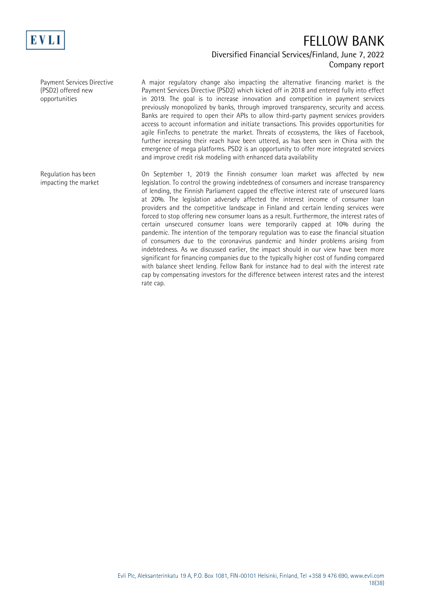

### Diversified Financial Services/Finland, June 7, 2022 Company report

Payment Services Directive (PSD2) offered new opportunities

Regulation has been impacting the market A major regulatory change also impacting the alternative financing market is the Payment Services Directive (PSD2) which kicked off in 2018 and entered fully into effect in 2019. The goal is to increase innovation and competition in payment services previously monopolized by banks, through improved transparency, security and access. Banks are required to open their APIs to allow third-party payment services providers access to account information and initiate transactions. This provides opportunities for agile FinTechs to penetrate the market. Threats of ecosystems, the likes of Facebook, further increasing their reach have been uttered, as has been seen in China with the emergence of mega platforms. PSD2 is an opportunity to offer more integrated services and improve credit risk modeling with enhanced data availability

On September 1, 2019 the Finnish consumer loan market was affected by new legislation. To control the growing indebtedness of consumers and increase transparency of lending, the Finnish Parliament capped the effective interest rate of unsecured loans at 20%. The legislation adversely affected the interest income of consumer loan providers and the competitive landscape in Finland and certain lending services were forced to stop offering new consumer loans as a result. Furthermore, the interest rates of certain unsecured consumer loans were temporarily capped at 10% during the pandemic. The intention of the temporary regulation was to ease the financial situation of consumers due to the coronavirus pandemic and hinder problems arising from indebtedness. As we discussed earlier, the impact should in our view have been more significant for financing companies due to the typically higher cost of funding compared with balance sheet lending. Fellow Bank for instance had to deal with the interest rate cap by compensating investors for the difference between interest rates and the interest rate cap.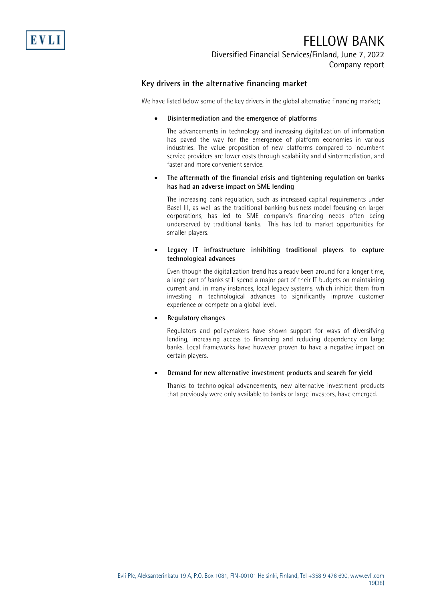

Diversified Financial Services/Finland, June 7, 2022 Company report

#### **Key drivers in the alternative financing market**

We have listed below some of the key drivers in the global alternative financing market;

#### • **Disintermediation and the emergence of platforms**

The advancements in technology and increasing digitalization of information has paved the way for the emergence of platform economies in various industries. The value proposition of new platforms compared to incumbent service providers are lower costs through scalability and disintermediation, and faster and more convenient service.

#### • **The aftermath of the financial crisis and tightening regulation on banks has had an adverse impact on SME lending**

The increasing bank regulation, such as increased capital requirements under Basel III, as well as the traditional banking business model focusing on larger corporations, has led to SME company's financing needs often being underserved by traditional banks. This has led to market opportunities for smaller players.

#### • **Legacy IT infrastructure inhibiting traditional players to capture technological advances**

Even though the digitalization trend has already been around for a longer time, a large part of banks still spend a major part of their IT budgets on maintaining current and, in many instances, local legacy systems, which inhibit them from investing in technological advances to significantly improve customer experience or compete on a global level.

#### • **Regulatory changes**

Regulators and policymakers have shown support for ways of diversifying lending, increasing access to financing and reducing dependency on large banks. Local frameworks have however proven to have a negative impact on certain players.

#### • **Demand for new alternative investment products and search for yield**

Thanks to technological advancements, new alternative investment products that previously were only available to banks or large investors, have emerged.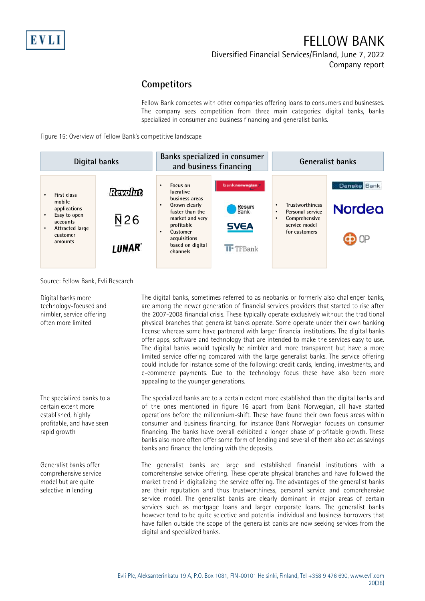Diversified Financial Services/Finland, June 7, 2022

Company report

### **Competitors**

Fellow Bank competes with other companies offering loans to consumers and businesses. The company sees competition from three main categories: digital banks, banks specialized in consumer and business financing and generalist banks.

Figure 15: Overview of Fellow Bank's competitive landscape



Source: Fellow Bank, Evli Research

Digital banks more technology-focused and nimbler, service offering often more limited

The specialized banks to a certain extent more established, highly profitable, and have seen rapid growth

Generalist banks offer comprehensive service model but are quite selective in lending

The digital banks, sometimes referred to as neobanks or formerly also challenger banks, are among the newer generation of financial services providers that started to rise after the 2007-2008 financial crisis. These typically operate exclusively without the traditional physical branches that generalist banks operate. Some operate under their own banking license whereas some have partnered with larger financial institutions. The digital banks offer apps, software and technology that are intended to make the services easy to use. The digital banks would typically be nimbler and more transparent but have a more limited service offering compared with the large generalist banks. The service offering could include for instance some of the following: credit cards, lending, investments, and e-commerce payments. Due to the technology focus these have also been more appealing to the younger generations.

The specialized banks are to a certain extent more established than the digital banks and of the ones mentioned in figure 16 apart from Bank Norwegian, all have started operations before the millennium-shift. These have found their own focus areas within consumer and business financing, for instance Bank Norwegian focuses on consumer financing. The banks have overall exhibited a longer phase of profitable growth. These banks also more often offer some form of lending and several of them also act as savings banks and finance the lending with the deposits.

The generalist banks are large and established financial institutions with a comprehensive service offering. These operate physical branches and have followed the market trend in digitalizing the service offering. The advantages of the generalist banks are their reputation and thus trustworthiness, personal service and comprehensive service model. The generalist banks are clearly dominant in major areas of certain services such as mortgage loans and larger corporate loans. The generalist banks however tend to be quite selective and potential individual and business borrowers that have fallen outside the scope of the generalist banks are now seeking services from the digital and specialized banks.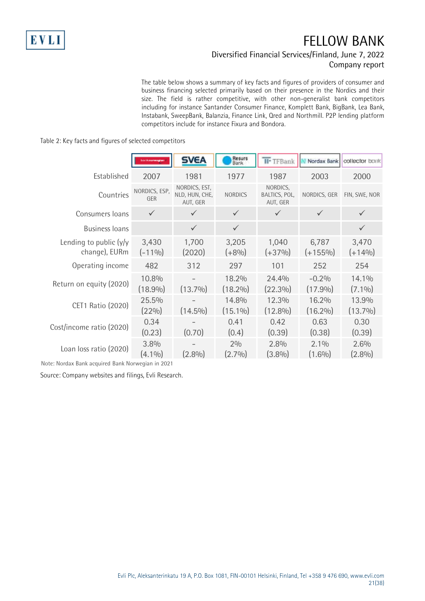### Diversified Financial Services/Finland, June 7, 2022 Company report

The table below shows a summary of key facts and figures of providers of consumer and business financing selected primarily based on their presence in the Nordics and their size. The field is rather competitive, with other non-generalist bank competitors including for instance Santander Consumer Finance, Komplett Bank, BigBank, Lea Bank, Instabank, SweepBank, Balanzia, Finance Link, Qred and Northmill. P2P lending platform competitors include for instance Fixura and Bondora.

#### Table 2: Key facts and figures of selected competitors

|                                            | banknowegian         | <b>SVEA</b>                                 | Resurs<br>Bank      | <b>II</b> <sup>-</sup> TFBank         | Nordax Bank           | collector bank      |
|--------------------------------------------|----------------------|---------------------------------------------|---------------------|---------------------------------------|-----------------------|---------------------|
| Established                                | 2007                 | 1981                                        | 1977                | 1987                                  | 2003                  | 2000                |
| Countries                                  | NORDICS, ESP,<br>GER | NORDICS, EST,<br>NLD, HUN, CHE,<br>AUT, GER | <b>NORDICS</b>      | NORDICS,<br>BALTICS, POL,<br>AUT, GER | NORDICS, GER          | FIN, SWE, NOR       |
| Consumers loans                            | $\checkmark$         | $\checkmark$                                | $\checkmark$        | $\checkmark$                          | $\checkmark$          | $\checkmark$        |
| <b>Business loans</b>                      |                      | $\checkmark$                                | $\checkmark$        |                                       |                       | $\checkmark$        |
| Lending to public $(y/y)$<br>change), EURm | 3,430<br>$(-110/0)$  | 1,700<br>(2020)                             | 3,205<br>$(+8%)$    | 1,040<br>$(+37%)$                     | 6,787<br>$(+155%)$    | 3,470<br>$(+14\%)$  |
| Operating income                           | 482                  | 312                                         | 297                 | 101                                   | 252                   | 254                 |
| Return on equity (2020)                    | 10.8%<br>$(18.9\%)$  | $(13.7\%)$                                  | 18.2%<br>$(18.2\%)$ | 24.4%<br>$(22.3\%)$                   | $-0.2%$<br>$(17.9\%)$ | 14.1%<br>$(7.1\%)$  |
| CET1 Ratio (2020)                          | 25.5%<br>$(22\%)$    | $(14.5\%)$                                  | 14.8%<br>$(15.1\%)$ | 12.3%<br>$(12.8\%)$                   | 16.2%<br>$(16.2\%)$   | 13.9%<br>$(13.7\%)$ |
| Cost/income ratio (2020)                   | 0.34<br>(0.23)       | (0.70)                                      | 0.41<br>(0.4)       | 0.42<br>(0.39)                        | 0.63<br>(0.38)        | 0.30<br>(0.39)      |
| Loan loss ratio (2020)                     | 3.8%<br>$(4.1\%)$    | $(2.8\%)$                                   | 2%<br>$(2.7\%)$     | 2.8%<br>$(3.8\%)$                     | 2.1%<br>$(1.6\%)$     | 2.6%<br>$(2.8\%)$   |

Note: Nordax Bank acquired Bank Norwegian in 2021

Source: Company websites and filings, Evli Research.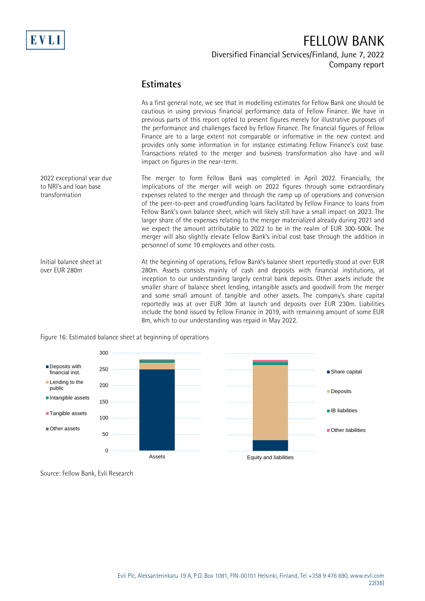

### Diversified Financial Services/Finland, June 7, 2022 Company report

### **Estimates**

As a first general note, we see that in modelling estimates for Fellow Bank one should be cautious in using previous financial performance data of Fellow Finance. We have in previous parts of this report opted to present figures merely for illustrative purposes of the performance and challenges faced by Fellow Finance. The financial figures of Fellow Finance are to a large extent not comparable or informative in the new context and provides only some information in for instance estimating Fellow Finance's cost base. Transactions related to the merger and business transformation also have and will impact on figures in the near-term.

The merger to form Fellow Bank was completed in April 2022. Financially, the implications of the merger will weigh on 2022 figures through some extraordinary expenses related to the merger and through the ramp up of operations and conversion of the peer-to-peer and crowdfunding loans facilitated by Fellow Finance to loans from Fellow Bank's own balance sheet, which will likely still have a small impact on 2023. The larger share of the expenses relating to the merger materialized already during 2021 and we expect the amount attributable to 2022 to be in the realm of EUR 300-500k. The merger will also slightly elevate Fellow Bank's initial cost base through the addition in personnel of some 10 employees and other costs. 2022 exceptional year due to NRI's and loan base transformation

At the beginning of operations, Fellow Bank's balance sheet reportedly stood at over EUR 280m. Assets consists mainly of cash and deposits with financial institutions, at inception to our understanding largely central bank deposits. Other assets include the smaller share of balance sheet lending, intangible assets and goodwill from the merger and some small amount of tangible and other assets. The company's share capital reportedly was at over EUR 30m at launch and deposits over EUR 230m. Liabilities include the bond issued by Fellow Finance in 2019, with remaining amount of some EUR 8m, which to our understanding was repaid in May 2022. Initial balance sheet at over EUR 280m



Figure 16: Estimated balance sheet at beginning of operations

Source: Fellow Bank, Evli Research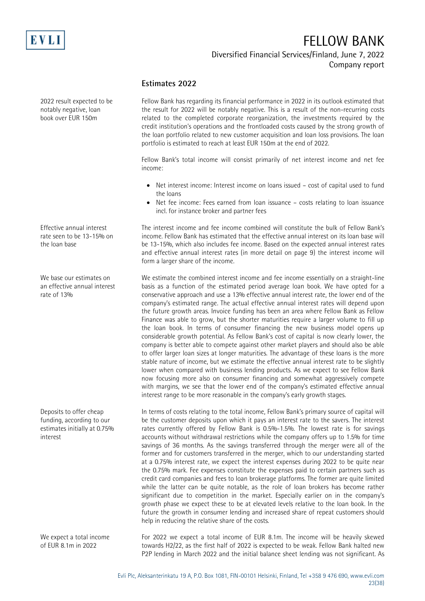

### Diversified Financial Services/Finland, June 7, 2022 Company report

#### **Estimates 2022**

2022 result expected to be notably negative, loan book over EUR 150m

Effective annual interest rate seen to be 13-15% on the loan base

We base our estimates on an effective annual interest rate of 13%

Deposits to offer cheap funding, according to our estimates initially at 0.75% interest

We expect a total income of EUR 8.1m in 2022

Fellow Bank has regarding its financial performance in 2022 in its outlook estimated that the result for 2022 will be notably negative. This is a result of the non-recurring costs related to the completed corporate reorganization, the investments required by the credit institution's operations and the frontloaded costs caused by the strong growth of the loan portfolio related to new customer acquisition and loan loss provisions. The loan portfolio is estimated to reach at least EUR 150m at the end of 2022.

Fellow Bank's total income will consist primarily of net interest income and net fee income:

- Net interest income: Interest income on loans issued cost of capital used to fund the loans
- Net fee income: Fees earned from loan issuance costs relating to loan issuance incl. for instance broker and partner fees

The interest income and fee income combined will constitute the bulk of Fellow Bank's income. Fellow Bank has estimated that the effective annual interest on its loan base will be 13-15%, which also includes fee income. Based on the expected annual interest rates and effective annual interest rates (in more detail on page 9) the interest income will form a larger share of the income.

We estimate the combined interest income and fee income essentially on a straight-line basis as a function of the estimated period average loan book. We have opted for a conservative approach and use a 13% effective annual interest rate, the lower end of the company's estimated range. The actual effective annual interest rates will depend upon the future growth areas. Invoice funding has been an area where Fellow Bank as Fellow Finance was able to grow, but the shorter maturities require a larger volume to fill up the loan book. In terms of consumer financing the new business model opens up considerable growth potential. As Fellow Bank's cost of capital is now clearly lower, the company is better able to compete against other market players and should also be able to offer larger loan sizes at longer maturities. The advantage of these loans is the more stable nature of income, but we estimate the effective annual interest rate to be slightly lower when compared with business lending products. As we expect to see Fellow Bank now focusing more also on consumer financing and somewhat aggressively compete with margins, we see that the lower end of the company's estimated effective annual interest range to be more reasonable in the company's early growth stages.

In terms of costs relating to the total income, Fellow Bank's primary source of capital will be the customer deposits upon which it pays an interest rate to the savers. The interest rates currently offered by Fellow Bank is 0.5%-1.5%. The lowest rate is for savings accounts without withdrawal restrictions while the company offers up to 1.5% for time savings of 36 months. As the savings transferred through the merger were all of the former and for customers transferred in the merger, which to our understanding started at a 0.75% interest rate, we expect the interest expenses during 2022 to be quite near the 0.75% mark. Fee expenses constitute the expenses paid to certain partners such as credit card companies and fees to loan brokerage platforms. The former are quite limited while the latter can be quite notable, as the role of loan brokers has become rather significant due to competition in the market. Especially earlier on in the company's growth phase we expect these to be at elevated levels relative to the loan book. In the future the growth in consumer lending and increased share of repeat customers should help in reducing the relative share of the costs.

For 2022 we expect a total income of EUR 8.1m. The income will be heavily skewed towards H2/22, as the first half of 2022 is expected to be weak. Fellow Bank halted new P2P lending in March 2022 and the initial balance sheet lending was not significant. As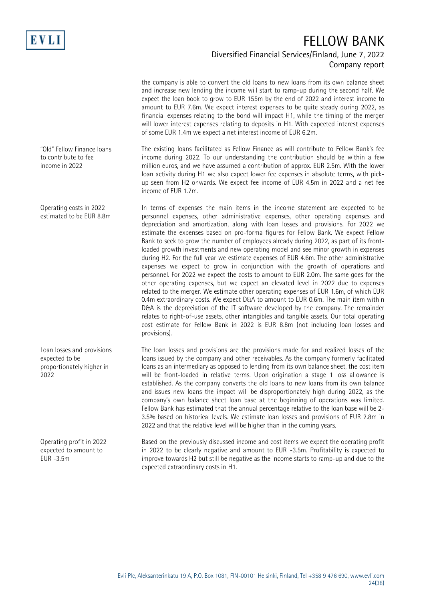

### Diversified Financial Services/Finland, June 7, 2022 Company report

the company is able to convert the old loans to new loans from its own balance sheet and increase new lending the income will start to ramp-up during the second half. We expect the loan book to grow to EUR 155m by the end of 2022 and interest income to amount to EUR 7.6m. We expect interest expenses to be quite steady during 2022, as financial expenses relating to the bond will impact H1, while the timing of the merger will lower interest expenses relating to deposits in H1. With expected interest expenses of some EUR 1.4m we expect a net interest income of EUR 6.2m.

The existing loans facilitated as Fellow Finance as will contribute to Fellow Bank's fee income during 2022. To our understanding the contribution should be within a few million euros, and we have assumed a contribution of approx. EUR 2.5m. With the lower loan activity during H1 we also expect lower fee expenses in absolute terms, with pickup seen from H2 onwards. We expect fee income of EUR 4.5m in 2022 and a net fee income of EUR 1.7m.

In terms of expenses the main items in the income statement are expected to be personnel expenses, other administrative expenses, other operating expenses and depreciation and amortization, along with loan losses and provisions. For 2022 we estimate the expenses based on pro-forma figures for Fellow Bank. We expect Fellow Bank to seek to grow the number of employees already during 2022, as part of its frontloaded growth investments and new operating model and see minor growth in expenses during H2. For the full year we estimate expenses of EUR 4.6m. The other administrative expenses we expect to grow in conjunction with the growth of operations and personnel. For 2022 we expect the costs to amount to EUR 2.0m. The same goes for the other operating expenses, but we expect an elevated level in 2022 due to expenses related to the merger. We estimate other operating expenses of EUR 1.6m, of which EUR 0.4m extraordinary costs. We expect D&A to amount to EUR 0.6m. The main item within D&A is the depreciation of the IT software developed by the company. The remainder relates to right-of-use assets, other intangibles and tangible assets. Our total operating cost estimate for Fellow Bank in 2022 is EUR 8.8m (not including loan losses and provisions).

The loan losses and provisions are the provisions made for and realized losses of the loans issued by the company and other receivables. As the company formerly facilitated loans as an intermediary as opposed to lending from its own balance sheet, the cost item will be front-loaded in relative terms. Upon origination a stage 1 loss allowance is established. As the company converts the old loans to new loans from its own balance and issues new loans the impact will be disproportionately high during 2022, as the company's own balance sheet loan base at the beginning of operations was limited. Fellow Bank has estimated that the annual percentage relative to the loan base will be 2- 3.5% based on historical levels. We estimate loan losses and provisions of EUR 2.8m in 2022 and that the relative level will be higher than in the coming years.

Based on the previously discussed income and cost items we expect the operating profit in 2022 to be clearly negative and amount to EUR -3.5m. Profitability is expected to improve towards H2 but still be negative as the income starts to ramp-up and due to the expected extraordinary costs in H1.

"Old" Fellow Finance loans to contribute to fee income in 2022

Operating costs in 2022 estimated to be EUR 8.8m

Loan losses and provisions expected to be proportionately higher in 2022

Operating profit in 2022 expected to amount to EUR -3.5m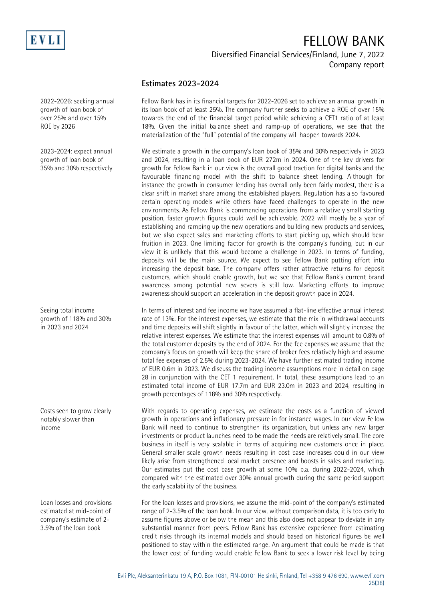

#### Diversified Financial Services/Finland, June 7, 2022 Company report

#### **Estimates 2023-2024**

Fellow Bank has in its financial targets for 2022-2026 set to achieve an annual growth in its loan book of at least 25%. The company further seeks to achieve a ROE of over 15% towards the end of the financial target period while achieving a CET1 ratio of at least 18%. Given the initial balance sheet and ramp-up of operations, we see that the materialization of the "full" potential of the company will happen towards 2024.

We estimate a growth in the company's loan book of 35% and 30% respectively in 2023 and 2024, resulting in a loan book of EUR 272m in 2024. One of the key drivers for growth for Fellow Bank in our view is the overall good traction for digital banks and the favourable financing model with the shift to balance sheet lending. Although for instance the growth in consumer lending has overall only been fairly modest, there is a clear shift in market share among the established players. Regulation has also favoured certain operating models while others have faced challenges to operate in the new environments. As Fellow Bank is commencing operations from a relatively small starting position, faster growth figures could well be achievable. 2022 will mostly be a year of establishing and ramping up the new operations and building new products and services, but we also expect sales and marketing efforts to start picking up, which should bear fruition in 2023. One limiting factor for growth is the company's funding, but in our view it is unlikely that this would become a challenge in 2023. In terms of funding, deposits will be the main source. We expect to see Fellow Bank putting effort into increasing the deposit base. The company offers rather attractive returns for deposit customers, which should enable growth, but we see that Fellow Bank's current brand awareness among potential new severs is still low. Marketing efforts to improve awareness should support an acceleration in the deposit growth pace in 2024.

In terms of interest and fee income we have assumed a flat-line effective annual interest rate of 13%. For the interest expenses, we estimate that the mix in withdrawal accounts and time deposits will shift slightly in favour of the latter, which will slightly increase the relative interest expenses. We estimate that the interest expenses will amount to 0.8% of the total customer deposits by the end of 2024. For the fee expenses we assume that the company's focus on growth will keep the share of broker fees relatively high and assume total fee expenses of 2.5% during 2023-2024. We have further estimated trading income of EUR 0.6m in 2023. We discuss the trading income assumptions more in detail on page 28 in conjunction with the CET 1 requirement. In total, these assumptions lead to an estimated total income of EUR 17.7m and EUR 23.0m in 2023 and 2024, resulting in growth percentages of 118% and 30% respectively.

With regards to operating expenses, we estimate the costs as a function of viewed growth in operations and inflationary pressure in for instance wages. In our view Fellow Bank will need to continue to strengthen its organization, but unless any new larger investments or product launches need to be made the needs are relatively small. The core business in itself is very scalable in terms of acquiring new customers once in place. General smaller scale growth needs resulting in cost base increases could in our view likely arise from strengthened local market presence and boosts in sales and marketing. Our estimates put the cost base growth at some 10% p.a. during 2022-2024, which compared with the estimated over 30% annual growth during the same period support the early scalability of the business.

For the loan losses and provisions, we assume the mid-point of the company's estimated range of 2-3.5% of the loan book. In our view, without comparison data, it is too early to assume figures above or below the mean and this also does not appear to deviate in any substantial manner from peers. Fellow Bank has extensive experience from estimating credit risks through its internal models and should based on historical figures be well positioned to stay within the estimated range. An argument that could be made is that the lower cost of funding would enable Fellow Bank to seek a lower risk level by being

2022-2026: seeking annual growth of loan book of over 25% and over 15% ROE by 2026

2023-2024: expect annual growth of loan book of 35% and 30% respectively

Seeing total income growth of 118% and 30% in 2023 and 2024

Costs seen to grow clearly notably slower than income

Loan losses and provisions estimated at mid-point of company's estimate of 2- 3.5% of the loan book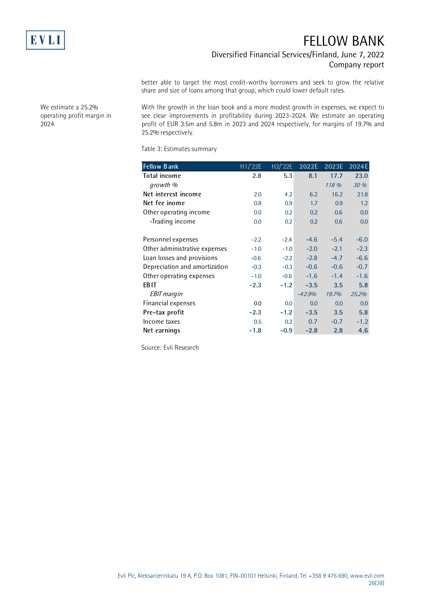

### Diversified Financial Services/Finland, June 7, 2022 Company report

better able to target the most credit-worthy borrowers and seek to grow the relative share and size of loans among that group, which could lower default rates.

With the growth in the loan book and a more modest growth in expenses, we expect to see clear improvements in profitability during 2023-2024. We estimate an operating profit of EUR 3.5m and 5.8m in 2023 and 2024 respectively, for margins of 19.7% and 25.2% respectively.

Table 3: Estimates summary

| <b>Fellow Bank</b>            | H1/22E | H2/22E | 2022E    | 2023E  | 2024E  |
|-------------------------------|--------|--------|----------|--------|--------|
| <b>Total income</b>           | 2.8    | 5.3    | 8.1      | 17.7   | 23.0   |
| growth %                      |        |        |          | 118 %  | 30 %   |
| Net interest income           | 2.0    | 4.2    | 6.2      | 16.2   | 21.8   |
| Net fee inome                 | 0.8    | 0.9    | 1.7      | 0.9    | 1.2    |
| Other operating income        | 0.0    | 0.2    | 0.2      | 0.6    | 0.0    |
| -Trading income               | 0.0    | 0.2    | 0.2      | 0.6    | 0.0    |
|                               |        |        |          |        |        |
| Personnel expenses            | $-2.2$ | $-2.4$ | $-4.6$   | $-5.4$ | $-6.0$ |
| Other administrative expenses | $-1.0$ | $-1.0$ | $-2.0$   | $-2.1$ | $-2.3$ |
| Loan losses and provisions    | $-0.6$ | $-2.2$ | $-2.8$   | $-4.7$ | $-6.6$ |
| Depreciation and amortization | $-0.3$ | $-0.3$ | $-0.6$   | $-0.6$ | $-0.7$ |
| Other operating expenses      | $-1.0$ | $-0.6$ | $-1.6$   | $-1.4$ | $-1.6$ |
| EB IT                         | $-2.3$ | $-1.2$ | $-3.5$   | 3.5    | 5.8    |
| <b>EBIT</b> margin            |        |        | $-42.9%$ | 19.7%  | 25.2%  |
| Financial expenses            | 0.0    | 0.0    | 0.0      | 0.0    | 0.0    |
| Pre-tax profit                | $-2.3$ | $-1.2$ | $-3.5$   | 3.5    | 5.8    |
| Income taxes                  | 0.5    | 0.2    | 0.7      | $-0.7$ | $-1.2$ |
| Net earnings                  | $-1.8$ | $-0.9$ | $-2.8$   | 2.8    | 4.6    |

Source: Evli Research

We estimate a 25.2% operating profit margin in 2024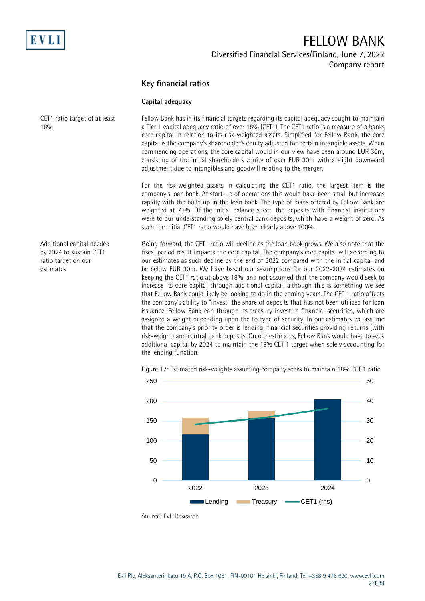

Diversified Financial Services/Finland, June 7, 2022 Company report

#### **Key financial ratios**

#### **Capital adequacy**

Fellow Bank has in its financial targets regarding its capital adequacy sought to maintain a Tier 1 capital adequacy ratio of over 18% (CET1). The CET1 ratio is a measure of a banks core capital in relation to its risk-weighted assets. Simplified for Fellow Bank, the core capital is the company's shareholder's equity adjusted for certain intangible assets. When commencing operations, the core capital would in our view have been around EUR 30m, consisting of the initial shareholders equity of over EUR 30m with a slight downward adjustment due to intangibles and goodwill relating to the merger. CET1 ratio target of at least 18%

> For the risk-weighted assets in calculating the CET1 ratio, the largest item is the company's loan book. At start-up of operations this would have been small but increases rapidly with the build up in the loan book. The type of loans offered by Fellow Bank are weighted at 75%. Of the initial balance sheet, the deposits with financial institutions were to our understanding solely central bank deposits, which have a weight of zero. As such the initial CET1 ratio would have been clearly above 100%.

Additional capital needed by 2024 to sustain CET1 ratio target on our estimates

Going forward, the CET1 ratio will decline as the loan book grows. We also note that the fiscal period result impacts the core capital. The company's core capital will according to our estimates as such decline by the end of 2022 compared with the initial capital and be below EUR 30m. We have based our assumptions for our 2022-2024 estimates on keeping the CET1 ratio at above 18%, and not assumed that the company would seek to increase its core capital through additional capital, although this is something we see that Fellow Bank could likely be looking to do in the coming years. The CET 1 ratio affects the company's ability to "invest" the share of deposits that has not been utilized for loan issuance. Fellow Bank can through its treasury invest in financial securities, which are assigned a weight depending upon the to type of security. In our estimates we assume that the company's priority order is lending, financial securities providing returns (with risk-weight) and central bank deposits. On our estimates, Fellow Bank would have to seek additional capital by 2024 to maintain the 18% CET 1 target when solely accounting for the lending function.



Figure 17: Estimated risk-weights assuming company seeks to maintain 18% CET 1 ratio

Source: Evli Research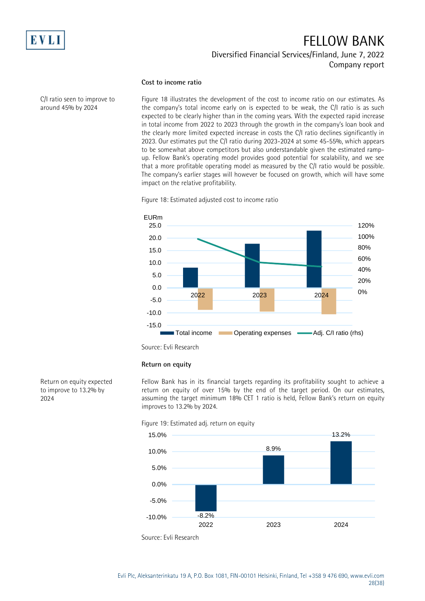

C/I ratio seen to improve to around 45% by 2024

### FELLOW BANK Diversified Financial Services/Finland, June 7, 2022 Company report

#### **Cost to income ratio**

Figure 18 illustrates the development of the cost to income ratio on our estimates. As the company's total income early on is expected to be weak, the C/I ratio is as such expected to be clearly higher than in the coming years. With the expected rapid increase in total income from 2022 to 2023 through the growth in the company's loan book and the clearly more limited expected increase in costs the C/I ratio declines significantly in 2023. Our estimates put the C/I ratio during 2023-2024 at some 45-55%, which appears to be somewhat above competitors but also understandable given the estimated rampup. Fellow Bank's operating model provides good potential for scalability, and we see that a more profitable operating model as measured by the C/I ratio would be possible. The company's earlier stages will however be focused on growth, which will have some impact on the relative profitability.

Figure 18: Estimated adjusted cost to income ratio



Source: Evli Research

#### **Return on equity**

Fellow Bank has in its financial targets regarding its profitability sought to achieve a return on equity of over 15% by the end of the target period. On our estimates, assuming the target minimum 18% CET 1 ratio is held, Fellow Bank's return on equity improves to 13.2% by 2024.

Figure 19: Estimated adj. return on equity



Return on equity expected to improve to 13.2% by 2024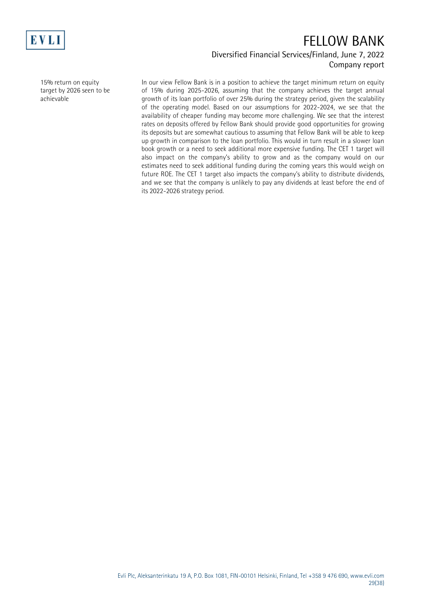

### Diversified Financial Services/Finland, June 7, 2022 Company report

15% return on equity target by 2026 seen to be achievable

In our view Fellow Bank is in a position to achieve the target minimum return on equity of 15% during 2025-2026, assuming that the company achieves the target annual growth of its loan portfolio of over 25% during the strategy period, given the scalability of the operating model. Based on our assumptions for 2022-2024, we see that the availability of cheaper funding may become more challenging. We see that the interest rates on deposits offered by Fellow Bank should provide good opportunities for growing its deposits but are somewhat cautious to assuming that Fellow Bank will be able to keep up growth in comparison to the loan portfolio. This would in turn result in a slower loan book growth or a need to seek additional more expensive funding. The CET 1 target will also impact on the company's ability to grow and as the company would on our estimates need to seek additional funding during the coming years this would weigh on future ROE. The CET 1 target also impacts the company's ability to distribute dividends, and we see that the company is unlikely to pay any dividends at least before the end of its 2022-2026 strategy period.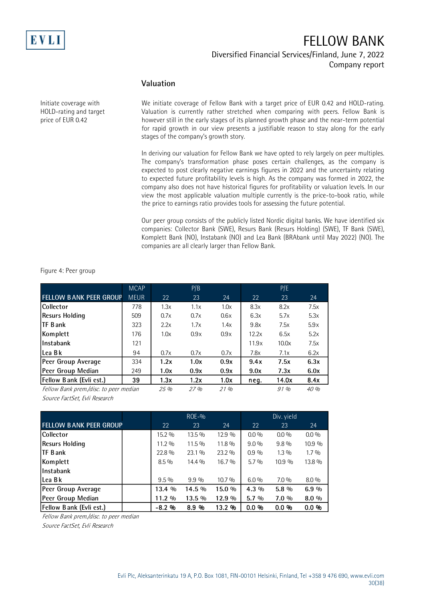

#### Diversified Financial Services/Finland, June 7, 2022 Company report

#### **Valuation**

Initiate coverage with HOLD-rating and target price of EUR 0.42

We initiate coverage of Fellow Bank with a target price of EUR 0.42 and HOLD-rating. Valuation is currently rather stretched when comparing with peers. Fellow Bank is however still in the early stages of its planned growth phase and the near-term potential for rapid growth in our view presents a justifiable reason to stay along for the early stages of the company's growth story.

In deriving our valuation for Fellow Bank we have opted to rely largely on peer multiples. The company's transformation phase poses certain challenges, as the company is expected to post clearly negative earnings figures in 2022 and the uncertainty relating to expected future profitability levels is high. As the company was formed in 2022, the company also does not have historical figures for profitability or valuation levels. In our view the most applicable valuation multiple currently is the price-to-book ratio, while the price to earnings ratio provides tools for assessing the future potential.

Our peer group consists of the publicly listed Nordic digital banks. We have identified six companies: Collector Bank (SWE), Resurs Bank (Resurs Holding) (SWE), TF Bank (SWE), Komplett Bank (NO), Instabank (NO) and Lea Bank (BRAbank until May 2022) (NO). The companies are all clearly larger than Fellow Bank.

Figure 4: Peer group

|                                        | <b>MCAP</b> |      | P/B  |      |       | P/E   |      |
|----------------------------------------|-------------|------|------|------|-------|-------|------|
| <b>FELLOW BANK PEER GROUP</b>          | <b>MEUR</b> | 22   | 23   | 24   | 22    | 23    | 24   |
| <b>Collector</b>                       | 778         | 1.3x | 1.1x | 1.0x | 8.3x  | 8.2x  | 7.5x |
| <b>Resurs Holding</b>                  | 509         | 0.7x | 0.7x | 0.6x | 6.3x  | 5.7x  | 5.3x |
| <b>ITF Bank</b>                        | 323         | 2.2x | 1.7x | 1.4x | 9.8x  | 7.5x  | 5.9x |
| Komplett                               | 176         | 1.0x | 0.9x | 0.9x | 12.2x | 6.5x  | 5.2x |
| l Instabank                            | 121         |      |      |      | 11.9x | 10.0x | 7.5x |
| lLea Bk                                | 94          | 0.7x | 0.7x | 0.7x | 7.8x  | 7.1x  | 6.2x |
| Peer Group Average                     | 334         | 1.2x | 1.0x | 0.9x | 9.4x  | 7.5x  | 6.3x |
| Peer Group Median                      | 249         | 1.0x | 0.9x | 0.9x | 9.0x  | 7.3x  | 6.0x |
| <b>Fellow Bank (Evli est.)</b>         | 39          | 1.3x | 1.2x | 1.0x | neg.  | 14.0x | 8.4x |
| Fellow Bank prem./disc. to peer median |             | 25%  | 27%  | 21%  |       | 91%   | 40%  |

Source FactSet, Evli Research

|                                |          | $ROE-9$ |        | Div. yield |         |         |  |
|--------------------------------|----------|---------|--------|------------|---------|---------|--|
| <b>FELLOW BANK PEER GROUP</b>  | 22       | 23      | 24     | 22         | 23      | 24      |  |
| Collector                      | 15.2 %   | 13.5 %  | 12.9 % | $0.0\%$    | $0.0\%$ | $0.0\%$ |  |
| Resurs Holding                 | $11.2\%$ | 11.5 %  | 11.8 % | $9.0\%$    | $9.8\%$ | 10.9 %  |  |
| <b>ITF Bank</b>                | 22.8%    | 23.1 %  | 23.2 % | $0.9\%$    | $1.3\%$ | $1.7\%$ |  |
| Komplett                       | $8.5\%$  | 14.4 %  | 16.7 % | $5.7\%$    | 10.9 %  | 13.8 %  |  |
| Instabank                      |          |         |        |            |         |         |  |
| l Lea B k                      | $9.5\%$  | $9.9\%$ | 10.7 % | $6.0\%$    | $7.0\%$ | $8.0\%$ |  |
| Peer Group Average             | 13.4 %   | 14.5 %  | 15.0 % | $4.3\%$    | $5.8\%$ | 6.9%    |  |
| Peer Group Median              | 11.2 %   | 13.5 %  | 12.9%  | $5.7\%$    | $7.0\%$ | $8.0\%$ |  |
| <b>Fellow Bank (Evli est.)</b> | $-8.2$ % | $8.9\%$ | 13.2 % | $0.0\%$    | $0.0\%$ | $0.0\%$ |  |

Fellow Bank prem./disc. to peer median

Source FactSet, Evli Research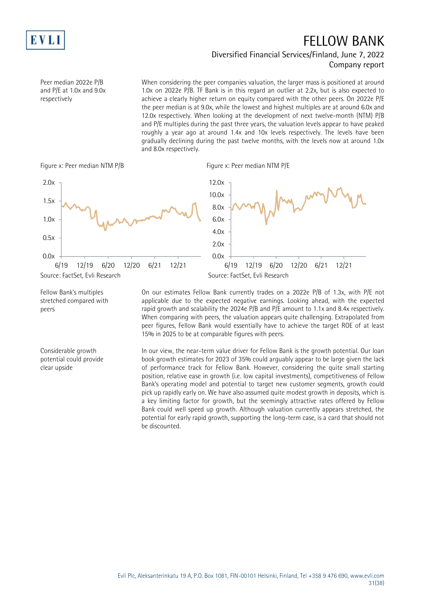

### Diversified Financial Services/Finland, June 7, 2022 Company report

Peer median 2022e P/B and P/E at 1.0x and 9.0x respectively

When considering the peer companies valuation, the larger mass is positioned at around 1.0x on 2022e P/B. TF Bank is in this regard an outlier at 2.2x, but is also expected to achieve a clearly higher return on equity compared with the other peers. On 2022e P/E the peer median is at 9.0x, while the lowest and highest multiples are at around 6.0x and 12.0x respectively. When looking at the development of next twelve-month (NTM) P/B and P/E multiples during the past three years, the valuation levels appear to have peaked roughly a year ago at around 1.4x and 10x levels respectively. The levels have been gradually declining during the past twelve months, with the levels now at around 1.0x and 8.0x respectively.





Fellow Bank's multiples stretched compared with peers

Considerable growth potential could provide clear upside

On our estimates Fellow Bank currently trades on a 2022e P/B of 1.3x, with P/E not applicable due to the expected negative earnings. Looking ahead, with the expected rapid growth and scalability the 2024e P/B and P/E amount to 1.1x and 8.4x respectively. When comparing with peers, the valuation appears quite challenging. Extrapolated from peer figures, Fellow Bank would essentially have to achieve the target ROE of at least 15% in 2025 to be at comparable figures with peers.

In our view, the near-term value driver for Fellow Bank is the growth potential. Our loan book growth estimates for 2023 of 35% could arguably appear to be large given the lack of performance track for Fellow Bank. However, considering the quite small starting position, relative ease in growth (i.e. low capital investments), competitiveness of Fellow Bank's operating model and potential to target new customer segments, growth could pick up rapidly early on. We have also assumed quite modest growth in deposits, which is a key limiting factor for growth, but the seemingly attractive rates offered by Fellow Bank could well speed up growth. Although valuation currently appears stretched, the potential for early rapid growth, supporting the long-term case, is a card that should not be discounted.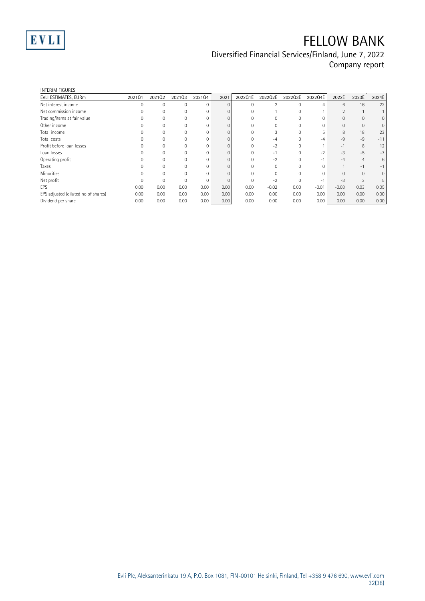

### Diversified Financial Services/Finland, June 7, 2022 Company report

| <b>INTERIM FIGURES</b>              |        |              |          |          |          |          |                |          |         |         |       |              |
|-------------------------------------|--------|--------------|----------|----------|----------|----------|----------------|----------|---------|---------|-------|--------------|
| EVLI ESTIMATES, EURm                | 202101 | 202102       | 202103   | 202104   | 2021     | 2022Q1E  | 2022Q2E        | 2022Q3E  | 2022Q4E | 2022E   | 2023E | 2024E        |
| Net interest income                 |        | $\mathbf{0}$ | 0        | $\Omega$ | $\Omega$ | 0        | $\mathfrak{D}$ | 0        |         | 6       | 16    | 22           |
| Net commission income               |        | $\Omega$     | 0        | $\Omega$ |          |          |                | $\Omega$ |         |         |       |              |
| Trading/items at fair value         |        | $\Omega$     |          | $\Omega$ |          |          |                |          |         |         |       | $\mathbf{0}$ |
| Other income                        |        |              |          | 0        |          |          |                |          |         | 0       | 0     | 0            |
| Total income                        |        | $\Omega$     | O        | 0        |          |          |                |          |         | 8       | 18    | 23           |
| Total costs                         |        |              |          | $\Omega$ |          |          | $-4$           |          | -4      | $-9$    | $-9$  | $-11$        |
| Profit before loan losses           |        |              |          | $\Omega$ |          |          | $-2$           |          |         | $-1$    | 8     | 12           |
| Loan losses                         |        |              |          | $\Omega$ |          |          | $\sim$         |          | $-2$    | $-3$    | $-5$  | $-7$         |
| Operating profit                    |        | $\Omega$     |          | $\Omega$ |          |          | $-2$           |          | $-1$    | -4      | 4     | 6            |
| Taxes                               |        |              |          | $\Omega$ |          |          |                |          |         |         | $-1$  | $-1$         |
| <b>Minorities</b>                   |        | $\Omega$     |          | 0        |          |          |                |          |         |         | 0     | $\mathbf{0}$ |
| Net profit                          |        | $\Omega$     | $\Omega$ | $\Omega$ |          | $\Omega$ | $-2$           | $\Omega$ | $-1$    | $-3$    | 3     | 5            |
| EPS                                 | 0.00   | 0.00         | 0.00     | 0.00     | 0.00     | 0.00     | $-0.02$        | 0.00     | $-0.01$ | $-0.03$ | 0.03  | 0.05         |
| EPS adjusted (diluted no of shares) | 0.00   | 0.00         | 0.00     | 0.00     | 0.00     | 0.00     | 0.00           | 0.00     | 0.00    | 0.00    | 0.00  | 0.00         |
| Dividend per share                  | 0.00   | 0.00         | 0.00     | 0.00     | 0.00     | 0.00     | 0.00           | 0.00     | 0.00    | 0.00    | 0.00  | 0.00         |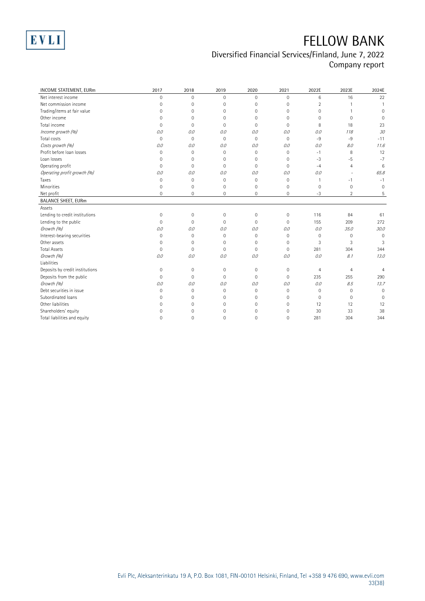

### Diversified Financial Services/Finland, June 7, 2022 Company report

| <b>INCOME STATEMENT, EURm</b>   | 2017                | 2018         | 2019                | 2020         | 2021         | 2022E          | 2023E          | 2024E          |
|---------------------------------|---------------------|--------------|---------------------|--------------|--------------|----------------|----------------|----------------|
| Net interest income             | $\mathbf 0$         | $\mathbf{0}$ | $\mathbf 0$         | $\Omega$     | $\mathbf{0}$ | 6              | 16             | 22             |
| Net commission income           | 0                   | 0            | 0                   | $\mathbf 0$  | $\mathbf{0}$ | $\overline{2}$ |                | $\mathbf{1}$   |
| Trading/items at fair value     | 0                   | 0            | $\mathbf 0$         | $\mathbf 0$  | $\mathbf{0}$ | 0              | $\mathbf{1}$   | $\Omega$       |
| Other income                    | 0                   | $\Omega$     | $\Omega$            | 0            | $\Omega$     | $\Omega$       | $\Omega$       | $\Omega$       |
| Total income                    | 0                   | 0            | $\Omega$            | $\Omega$     | $\Omega$     | 8              | 18             | 23             |
| Income growth (%)               | 0.0                 | 0.0          | 0.0                 | 0.0          | 0.0          | 0.0            | 118            | 30             |
| Total costs                     | $\mathbf 0$         | $\mathbf{0}$ | $\mathbf 0$         | $\mathbf{0}$ | $\mathbf{0}$ | $-9$           | $-9$           | $-11$          |
| Costs growth (%)                | O.O                 | 0.0          | 0.0                 | 0.0          | 0.0          | 0.0            | 8.0            | 11.6           |
| Profit before loan losses       | 0                   | 0            | $\mathbf 0$         | $\Omega$     | $\Omega$     | $-1$           | 8              | 12             |
| Loan losses                     | 0                   | 0            | 0                   | $\mathbf 0$  | $\mathbf{0}$ | $-3$           | -5             | $-7$           |
| Operating profit                | $\overline{0}$      | 0            | $\mathbf{0}$        | $\mathbf 0$  | $\Omega$     | $-4$           | $\overline{4}$ | 6              |
| Operating profit growth (%)     | 0.0                 | 0.0          | 0.0                 | 0.0          | 0.0          | 0.0            |                | 65.8           |
| Taxes                           | $\mathbf 0$         | 0            | $\mathbf 0$         | $\mathbf 0$  | $\mathbf{0}$ | 1              | $-1$           | $-1$           |
| Minorities                      | $\overline{0}$      | 0            | $\mathbf{0}$        | $\mathbf 0$  | $\mathbf{0}$ | $\mathbf 0$    | $\mathbf 0$    | $\mathbf 0$    |
| Net profit                      | 0                   | 0            | 0                   | 0            | $\mathbf{0}$ | $-3$           | $\overline{2}$ | 5              |
| <b>BALANCE SHEET, EURm</b>      |                     |              |                     |              |              |                |                |                |
| Assets                          |                     |              |                     |              |              |                |                |                |
| Lending to credit institutions  | $\mathsf{O}\xspace$ | $\mathbf 0$  | $\mathsf{O}\xspace$ | $\mathbf{0}$ | $\mathbf{0}$ | 116            | 84             | 61             |
| Lending to the public           | $\mathbf 0$         | 0            | $\mathbf{0}$        | $\mathbf 0$  | $\Omega$     | 155            | 209            | 272            |
| Growth (%)                      | O.O                 | 0.0          | 0.0                 | 0.0          | 0.0          | 0.0            | 35.0           | 30.0           |
| Interest-bearing securities     | $\mathsf{O}\xspace$ | 0            | $\mathbf{0}$        | $\mathbf 0$  | $\mathbf{0}$ | $\mathbf 0$    | $\mathbf 0$    | $\Omega$       |
| Other assets                    | $\overline{0}$      | 0            | 0                   | $\mathbf 0$  | $\mathbf{0}$ | 3              | 3              | 3              |
| <b>Total Assets</b>             | 0                   | 0            | $\mathbf 0$         | $\mathbf 0$  | $\mathbf{0}$ | 281            | 304            | 344            |
| Growth (%)                      | O.O                 | 0.0          | 0.0                 | 0.0          | 0.0          | 0.0            | 8.1            | 13.0           |
| Liabilities                     |                     |              |                     |              |              |                |                |                |
| Deposits by credit institutions | 0                   | 0            | 0                   | 0            | $\mathbf 0$  | $\overline{4}$ | $\overline{4}$ | $\overline{4}$ |
| Deposits from the public        | $\overline{0}$      | $\mathbf 0$  | $\mathbf{0}$        | $\mathbf 0$  | $\mathbf{0}$ | 235            | 255            | 290            |
| Growth (%)                      | O.O                 | 0.0          | 0.0                 | 0.0          | 0.0          | 0.0            | 8.5            | 13.7           |
| Debt securities in issue        | 0                   | $\mathbf 0$  | $\mathbf 0$         | $\mathbf 0$  | $\Omega$     | $\mathbf 0$    | $\mathbf 0$    | $\overline{0}$ |
| Subordinated Ioans              | 0                   | 0            | 0                   | $\mathbf 0$  | $\mathbf{0}$ | $\mathbf 0$    | $\mathbf 0$    | $\Omega$       |
| Other liabilities               | 0                   | 0            | 0                   | 0            | $\mathbf{0}$ | 12             | 12             | 12             |
| Shareholders' equity            | $\Omega$            | 0            | 0                   | $\Omega$     | $\mathbf{0}$ | 30             | 33             | 38             |
| Total liabilities and equity    | $\Omega$            | $\Omega$     | $\Omega$            | $\Omega$     | $\Omega$     | 281            | 304            | 344            |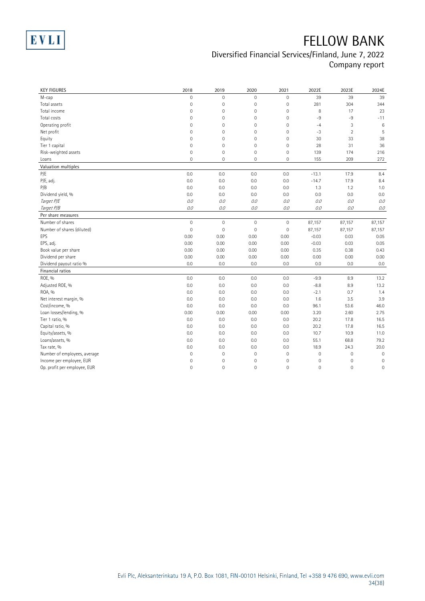

### Diversified Financial Services/Finland, June 7, 2022 Company report

| <b>KEY FIGURES</b>           | 2018                | 2019                | 2020                | 2021                | 2022E       | 2023E          | 2024E               |
|------------------------------|---------------------|---------------------|---------------------|---------------------|-------------|----------------|---------------------|
| M-cap                        | $\mathbf 0$         | $\mathbf{0}$        | 0                   | $\mathsf{O}\xspace$ | 39          | 39             | 39                  |
| Total assets                 | $\mathsf{O}\xspace$ | $\mathbf 0$         | $\mathsf{O}\xspace$ | $\mathbf 0$         | 281         | 304            | 344                 |
| Total income                 | $\mathsf{O}\xspace$ | $\mathsf{O}\xspace$ | $\mathsf{O}\xspace$ | $\mathbf 0$         | 8           | 17             | 23                  |
| Total costs                  | $\mathsf{O}\xspace$ | $\mathbf 0$         | $\mathsf{O}\xspace$ | $\mathsf{O}\xspace$ | $-9$        | -9             | $-11$               |
| Operating profit             | $\overline{0}$      | $\mathbf 0$         | $\mathsf{O}\xspace$ | $\overline{0}$      | $-4$        | 3              | $6\phantom{1}6$     |
| Net profit                   | $\mathsf{O}\xspace$ | $\mathbf 0$         | $\mathsf{O}\xspace$ | $\mathsf{O}\xspace$ | $-3$        | $\overline{2}$ | 5                   |
| Equity                       | 0                   | $\mathbf 0$         | $\mathsf{O}\xspace$ | $\mathbf 0$         | 30          | 33             | 38                  |
| Tier 1 capital               | $\overline{0}$      | $\mathbf 0$         | $\mathsf{O}\xspace$ | $\mathsf{O}\xspace$ | 28          | 31             | 36                  |
| Risk-weighted assets         | $\overline{0}$      | $\mathbf 0$         | $\mathsf{O}\xspace$ | $\mathbf 0$         | 139         | 174            | 216                 |
| Loans                        | $\mathbf 0$         | $\mathbf{0}$        | $\mathbf 0$         | $\overline{0}$      | 155         | 209            | 272                 |
| Valuation multiples          |                     |                     |                     |                     |             |                |                     |
| P/E                          | 0.0                 | 0.0                 | 0.0                 | 0.0                 | $-13.1$     | 17.9           | 8.4                 |
| P/E, adj.                    | 0.0                 | 0.0                 | 0.0                 | 0.0                 | $-14.7$     | 17.9           | 8.4                 |
| P/B                          | 0.0                 | 0.0                 | 0.0                 | 0.0                 | 1.3         | 1.2            | 1.0                 |
| Dividend yield, %            | 0.0                 | 0.0                 | 0.0                 | 0.0                 | 0.0         | 0.0            | 0.0                 |
| Target P/E                   | 0.0                 | 0.0                 | 0.0                 | 0.0                 | $O.O$       | 0.0            | 0.0                 |
| Target P/B                   | 0.0                 | 0.0                 | 0.0                 | 0.0                 | 0.0         | 0.0            | O.O                 |
| Per share measures           |                     |                     |                     |                     |             |                |                     |
| Number of shares             | $\overline{0}$      | $\mathbf{0}$        | $\overline{0}$      | $\overline{0}$      | 87,157      | 87,157         | 87,157              |
| Number of shares (diluted)   | $\overline{0}$      | $\mathbf{0}$        | $\mathbf 0$         | $\mathbf 0$         | 87,157      | 87,157         | 87,157              |
| EPS                          | 0.00                | 0.00                | 0.00                | 0.00                | $-0.03$     | 0.03           | 0.05                |
| EPS, adj.                    | 0.00                | 0.00                | 0.00                | 0.00                | $-0.03$     | 0.03           | 0.05                |
| Book value per share         | 0.00                | 0.00                | 0.00                | 0.00                | 0.35        | 0.38           | 0.43                |
| Dividend per share           | 0.00                | 0.00                | 0.00                | 0.00                | 0.00        | 0.00           | 0.00                |
| Dividend payout ratio %      | 0.0                 | 0.0                 | 0.0                 | 0.0                 | 0.0         | 0.0            | 0.0                 |
| Financial ratios             |                     |                     |                     |                     |             |                |                     |
| ROE, %                       | 0.0                 | 0.0                 | 0.0                 | 0.0                 | $-9.9$      | 8.9            | 13.2                |
| Adjusted ROE, %              | 0.0                 | 0.0                 | 0.0                 | 0.0                 | $-8.8$      | 8.9            | 13.2                |
| ROA, %                       | 0.0                 | 0.0                 | 0.0                 | 0.0                 | $-2.1$      | 0.7            | 1.4                 |
| Net interest margin, %       | 0.0                 | 0.0                 | 0.0                 | 0.0                 | 1.6         | 3.5            | 3.9                 |
| Cost/income, %               | 0.0                 | 0.0                 | 0.0                 | 0.0                 | 96.1        | 53.6           | 46.0                |
| Loan losses/lending, %       | 0.00                | 0.00                | 0.00                | 0.00                | 3.20        | 2.60           | 2.75                |
| Tier 1 ratio, %              | 0.0                 | 0.0                 | 0.0                 | 0.0                 | 20.2        | 17.8           | 16.5                |
| Capital ratio, %             | 0.0                 | 0.0                 | 0.0                 | 0.0                 | 20.2        | 17.8           | 16.5                |
| Equity/assets, %             | 0.0                 | 0.0                 | 0.0                 | 0.0                 | 10.7        | 10.9           | 11.0                |
| Loans/assets, %              | 0.0                 | 0.0                 | 0.0                 | 0.0                 | 55.1        | 68.8           | 79.2                |
| Tax rate, %                  | 0.0                 | 0.0                 | 0.0                 | 0.0                 | 18.9        | 24.3           | 20.0                |
| Number of employees, average | $\mathsf{O}\xspace$ | $\mathbf 0$         | $\mathsf{O}\xspace$ | $\mathbf 0$         | $\mathbb O$ | $\mathbf 0$    | $\mathbf 0$         |
| Income per employee, EUR     | $\overline{0}$      | $\mathbf 0$         | $\mathsf{O}\xspace$ | $\mathbf 0$         | $\mathbf 0$ | $\mathbf 0$    | $\mathbb O$         |
| Op. profit per employee, EUR | $\Omega$            | $\mathbf 0$         | $\overline{0}$      | $\overline{0}$      | $\mathbf 0$ | $\mathbf 0$    | $\mathsf{O}\xspace$ |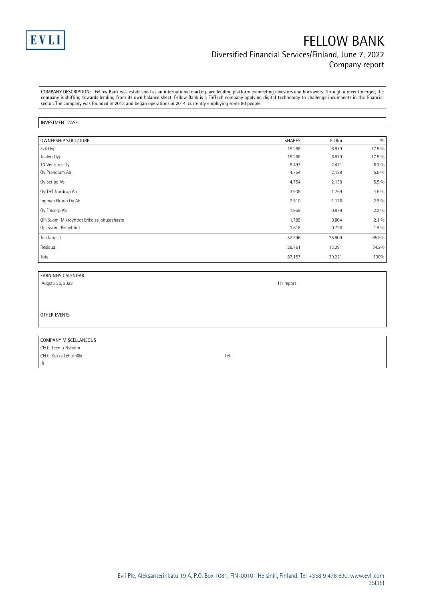

### FELLOW BANK Diversified Financial Services/Finland, June 7, 2022 Company report

COMPANY DESCRIPTION: Fellow Bank was established as an international marketplace lending platform connecting investors and borrowers. Through a recent merger, the company is shifting towards lending from its own balance sheet. Fellow Bank is a FinTech company applying digital technology to challenge incumbents in the financial sector. The company was founded in 2013 and began operations in 2014, currently employing some 80 people.

#### INVESTMENT CASE:

| <b>OWNERSHIP STRUCTURE</b>                  | <b>SHARES</b> | <b>EURm</b> | 0/0     |
|---------------------------------------------|---------------|-------------|---------|
| Evli Oyj                                    | 15.288        | 6.879       | 17.5 %  |
| Taaleri Oyj                                 | 15.288        | 6.879       | 17.5 %  |
| TN Ventures Oy                              | 5.497         | 2.471       | $6.3\%$ |
| Oy Prandium Ab                              | 4.754         | 2.138       | $5.5\%$ |
| Oy Scripo Ab                                | 4.754         | 2.138       | $5.5\%$ |
| Oy T&T Nordcap Ab                           | 3.938         | 1.769       | $4.5\%$ |
| Ingman Group Oy Ab                          | 2.510         | 1.126       | $2.9\%$ |
| Oy Fincorp Ab                               | 1.959         | 0.879       | $2.2\%$ |
| OP-Suomi Mikroyhtiot Erikoissijoitusrahasto | 1.789         | 0.804       | $2.1\%$ |
| Op-Suomi Pienyhtiot                         | 1.618         | 0.726       | 1.9%    |
| Ten largest                                 | 57.396        | 25.809      | 65.8%   |
| Residual                                    | 29.761        | 13.391      | 34.2%   |
| Total                                       | 87.157        | 39.221      | 100%    |

#### EARNINGS CALENDAR

Augstu 25, 2022 H1 report OTHER EVENTS

#### COMPANY MISCELLANEOUS

CEO: Teemu Nyholm CFO: Kukka Lehtimäki Tel: IR: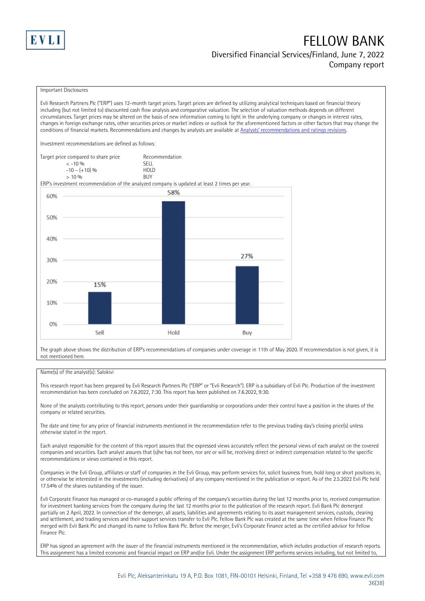

#### Diversified Financial Services/Finland, June 7, 2022 Company report

#### Important Disclosures

Evli Research Partners Plc ("ERP") uses 12-month target prices. Target prices are defined by utilizing analytical techniques based on financial theory including (but not limited to) discounted cash flow analysis and comparative valuation. The selection of valuation methods depends on different circumstances. Target prices may be altered on the basis of new information coming to light in the underlying company or changes in interest rates, changes in foreign exchange rates, other securities prices or market indices or outlook for the aforementioned factors or other factors that may change the conditions of financial markets. Recommendations and changes by analysts are available at [Analysts' recommendations an](https://research.evli.com/JasperAllModels.action?authParam=key;461&authParam=x;G3rNagWrtf7K&authType=3)d ratings revisions.

Investment recommendations are defined as follows:

Target price compared to share price Recommendation<br>CELL CALLO 06 < -10 % SELL  $-10 - (+10) \%$  HOL<br>  $> 10 \%$  BUY  $> 10\%$ 

ERP's investment recommendation of the analyzed company is updated at least 2 times per year.



The graph above shows the distribution of ERP's recommendations of companies under coverage in 11th of May 2020. If recommendation is not given, it is not mentioned here.

#### Name(s) of the analyst(s): Salokivi

This research report has been prepared by Evli Research Partners Plc ("ERP" or "Evli Research"). ERP is a subsidiary of Evli Plc. Production of the investment recommendation has been concluded on 7.6.2022, 7:30. This report has been published on 7.6.2022, 9:30.

None of the analysts contributing to this report, persons under their guardianship or corporations under their control have a position in the shares of the company or related securities.

The date and time for any price of financial instruments mentioned in the recommendation refer to the previous trading day's closing price(s) unless otherwise stated in the report.

Each analyst responsible for the content of this report assures that the expressed views accurately reflect the personal views of each analyst on the covered companies and securities. Each analyst assures that (s)he has not been, nor are or will be, receiving direct or indirect compensation related to the specific recommendations or views contained in this report.

Companies in the Evli Group, affiliates or staff of companies in the Evli Group, may perform services for, solicit business from, hold long or short positions in, or otherwise be interested in the investments (including derivatives) of any company mentioned in the publication or report. As of the 2.5.2022 Evli Plc held 17.54% of the shares outstanding of the issuer.

Evli Corporate Finance has managed or co-managed a public offering of the company's securities during the last 12 months prior to, received compensation for investment banking services from the company during the last 12 months prior to the publication of the research report. Evli Bank Plc demerged partially on 2 April, 2022. In connection of the demerger, all assets, liabilities and agreements relating to its asset management services, custody, clearing and settlement, and trading services and their support services transfer to Evli Plc. Fellow Bank Plc was created at the same time when Fellow Finance Plc merged with Evli Bank Plc and changed its name to Fellow Bank Plc. Before the merger, Evli's Corporate Finance acted as the certified advisor for Fellow Finance Plc.

ERP has signed an agreement with the issuer of the financial instruments mentioned in the recommendation, which includes production of research reports. This assignment has a limited economic and financial impact on ERP and/or Evli. Under the assignment ERP performs services including, but not limited to,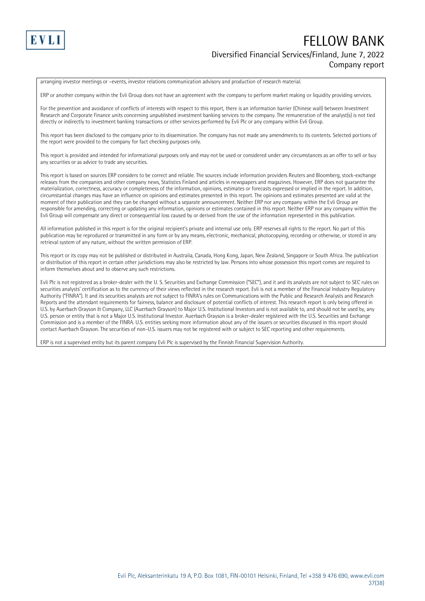

### FELLOW BANK Diversified Financial Services/Finland, June 7, 2022 Company report

arranging investor meetings or –events, investor relations communication advisory and production of research material.

ERP or another company within the Evli Group does not have an agreement with the company to perform market making or liquidity providing services.

For the prevention and avoidance of conflicts of interests with respect to this report, there is an information barrier (Chinese wall) between Investment Research and Corporate Finance units concerning unpublished investment banking services to the company. The remuneration of the analyst(s) is not tied directly or indirectly to investment banking transactions or other services performed by Evli Plc or any company within Evli Group.

This report has been disclosed to the company prior to its dissemination. The company has not made any amendments to its contents. Selected portions of the report were provided to the company for fact checking purposes only.

This report is provided and intended for informational purposes only and may not be used or considered under any circumstances as an offer to sell or buy any securities or as advice to trade any securities.

This report is based on sources ERP considers to be correct and reliable. The sources include information providers Reuters and Bloomberg, stock-exchange releases from the companies and other company news, Statistics Finland and articles in newspapers and magazines. However, ERP does not guarantee the materialization, correctness, accuracy or completeness of the information, opinions, estimates or forecasts expressed or implied in the report. In addition, circumstantial changes may have an influence on opinions and estimates presented in this report. The opinions and estimates presented are valid at the moment of their publication and they can be changed without a separate announcement. Neither ERP nor any company within the Evli Group are responsible for amending, correcting or updating any information, opinions or estimates contained in this report. Neither ERP nor any company within the Evli Group will compensate any direct or consequential loss caused by or derived from the use of the information represented in this publication.

All information published in this report is for the original recipient's private and internal use only. ERP reserves all rights to the report. No part of this publication may be reproduced or transmitted in any form or by any means, electronic, mechanical, photocopying, recording or otherwise, or stored in any retrieval system of any nature, without the written permission of ERP.

This report or its copy may not be published or distributed in Australia, Canada, Hong Kong, Japan, New Zealand, Singapore or South Africa. The publication or distribution of this report in certain other jurisdictions may also be restricted by law. Persons into whose possession this report comes are required to inform themselves about and to observe any such restrictions.

Evli Plc is not registered as a broker-dealer with the U. S. Securities and Exchange Commission ("SEC"), and it and its analysts are not subject to SEC rules on securities analysts' certification as to the currency of their views reflected in the research report. Evli is not a member of the Financial Industry Regulatory Authority ("FINRA"). It and its securities analysts are not subject to FINRA's rules on Communications with the Public and Research Analysts and Research Reports and the attendant requirements for fairness, balance and disclosure of potential conflicts of interest. This research report is only being offered in U.S. by Auerbach Grayson & Company, LLC (Auerbach Grayson) to Major U.S. Institutional Investors and is not available to, and should not be used by, any U.S. person or entity that is not a Major U.S. Institutional Investor. Auerbach Grayson is a broker-dealer registered with the U.S. Securities and Exchange Commission and is a member of the FINRA. U.S. entities seeking more information about any of the issuers or securities discussed in this report should contact Auerbach Grayson. The securities of non-U.S. issuers may not be registered with or subject to SEC reporting and other requirements.

ERP is not a supervised entity but its parent company Evli Plc is supervised by the Finnish Financial Supervision Authority.